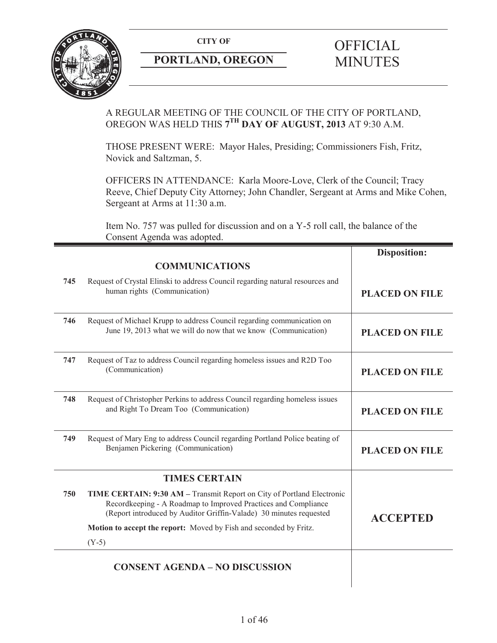

## **PORTLAND, OREGON MINUTES**

# **CITY OF** OFFICIAL

## A REGULAR MEETING OF THE COUNCIL OF THE CITY OF PORTLAND, OREGON WAS HELD THIS **7TH DAY OF AUGUST, 2013** AT 9:30 A.M.

THOSE PRESENT WERE: Mayor Hales, Presiding; Commissioners Fish, Fritz, Novick and Saltzman, 5.

OFFICERS IN ATTENDANCE: Karla Moore-Love, Clerk of the Council; Tracy Reeve, Chief Deputy City Attorney; John Chandler, Sergeant at Arms and Mike Cohen, Sergeant at Arms at 11:30 a.m.

Item No. 757 was pulled for discussion and on a Y-5 roll call, the balance of the Consent Agenda was adopted.

|     |                                                                                                                                                                                                                | <b>Disposition:</b>   |
|-----|----------------------------------------------------------------------------------------------------------------------------------------------------------------------------------------------------------------|-----------------------|
|     | <b>COMMUNICATIONS</b>                                                                                                                                                                                          |                       |
| 745 | Request of Crystal Elinski to address Council regarding natural resources and<br>human rights (Communication)                                                                                                  | <b>PLACED ON FILE</b> |
| 746 | Request of Michael Krupp to address Council regarding communication on<br>June 19, 2013 what we will do now that we know (Communication)                                                                       | <b>PLACED ON FILE</b> |
| 747 | Request of Taz to address Council regarding homeless issues and R2D Too<br>(Communication)                                                                                                                     | <b>PLACED ON FILE</b> |
| 748 | Request of Christopher Perkins to address Council regarding homeless issues<br>and Right To Dream Too (Communication)                                                                                          | <b>PLACED ON FILE</b> |
| 749 | Request of Mary Eng to address Council regarding Portland Police beating of<br>Benjamen Pickering (Communication)                                                                                              | <b>PLACED ON FILE</b> |
|     | <b>TIMES CERTAIN</b>                                                                                                                                                                                           |                       |
| 750 | TIME CERTAIN: 9:30 AM - Transmit Report on City of Portland Electronic<br>Recordkeeping - A Roadmap to Improved Practices and Compliance<br>(Report introduced by Auditor Griffin-Valade) 30 minutes requested | <b>ACCEPTED</b>       |
|     | Motion to accept the report: Moved by Fish and seconded by Fritz.                                                                                                                                              |                       |
|     | $(Y-5)$                                                                                                                                                                                                        |                       |
|     | <b>CONSENT AGENDA - NO DISCUSSION</b>                                                                                                                                                                          |                       |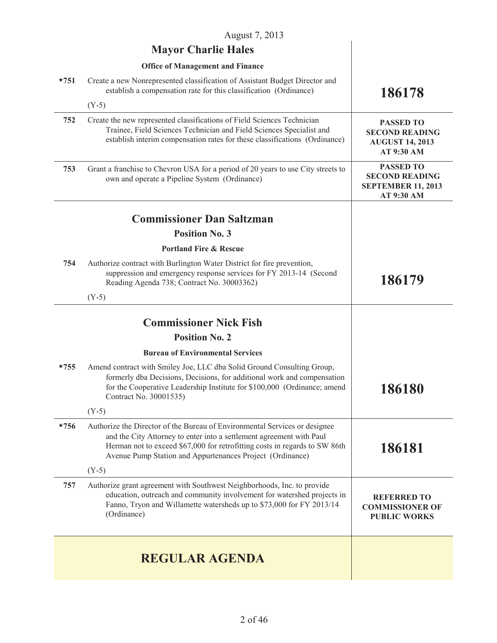| August 7, 2013 |                                                                                                                                                                                                                                                                                               |                                                                                      |  |
|----------------|-----------------------------------------------------------------------------------------------------------------------------------------------------------------------------------------------------------------------------------------------------------------------------------------------|--------------------------------------------------------------------------------------|--|
|                | <b>Mayor Charlie Hales</b>                                                                                                                                                                                                                                                                    |                                                                                      |  |
|                | <b>Office of Management and Finance</b>                                                                                                                                                                                                                                                       |                                                                                      |  |
| $*751$         | Create a new Nonrepresented classification of Assistant Budget Director and<br>establish a compensation rate for this classification (Ordinance)                                                                                                                                              | 186178                                                                               |  |
|                | $(Y-5)$                                                                                                                                                                                                                                                                                       |                                                                                      |  |
| 752            | Create the new represented classifications of Field Sciences Technician<br>Trainee, Field Sciences Technician and Field Sciences Specialist and<br>establish interim compensation rates for these classifications (Ordinance)                                                                 | <b>PASSED TO</b><br><b>SECOND READING</b><br><b>AUGUST 14, 2013</b><br>AT 9:30 AM    |  |
| 753            | Grant a franchise to Chevron USA for a period of 20 years to use City streets to<br>own and operate a Pipeline System (Ordinance)                                                                                                                                                             | <b>PASSED TO</b><br><b>SECOND READING</b><br><b>SEPTEMBER 11, 2013</b><br>AT 9:30 AM |  |
|                | <b>Commissioner Dan Saltzman</b>                                                                                                                                                                                                                                                              |                                                                                      |  |
|                | <b>Position No. 3</b>                                                                                                                                                                                                                                                                         |                                                                                      |  |
|                | <b>Portland Fire &amp; Rescue</b>                                                                                                                                                                                                                                                             |                                                                                      |  |
| 754            | Authorize contract with Burlington Water District for fire prevention,<br>suppression and emergency response services for FY 2013-14 (Second<br>Reading Agenda 738; Contract No. 30003362)                                                                                                    | 186179                                                                               |  |
|                | $(Y-5)$                                                                                                                                                                                                                                                                                       |                                                                                      |  |
|                | <b>Commissioner Nick Fish</b>                                                                                                                                                                                                                                                                 |                                                                                      |  |
|                | <b>Position No. 2</b>                                                                                                                                                                                                                                                                         |                                                                                      |  |
|                | <b>Bureau of Environmental Services</b>                                                                                                                                                                                                                                                       |                                                                                      |  |
| $*755$         | Amend contract with Smiley Joe, LLC dba Solid Ground Consulting Group,<br>formerly dba Decisions, Decisions, for additional work and compensation<br>for the Cooperative Leadership Institute for \$100,000 (Ordinance; amend<br>Contract No. 30001535)                                       | 186180                                                                               |  |
|                | $(Y-5)$                                                                                                                                                                                                                                                                                       |                                                                                      |  |
| $*756$         | Authorize the Director of the Bureau of Environmental Services or designee<br>and the City Attorney to enter into a settlement agreement with Paul<br>Herman not to exceed \$67,000 for retrofitting costs in regards to SW 86th<br>Avenue Pump Station and Appurtenances Project (Ordinance) | 186181                                                                               |  |
|                | $(Y-5)$                                                                                                                                                                                                                                                                                       |                                                                                      |  |
| 757            | Authorize grant agreement with Southwest Neighborhoods, Inc. to provide<br>education, outreach and community involvement for watershed projects in<br>Fanno, Tryon and Willamette watersheds up to \$73,000 for FY 2013/14<br>(Ordinance)                                                     | <b>REFERRED TO</b><br><b>COMMISSIONER OF</b><br><b>PUBLIC WORKS</b>                  |  |
|                | <b>REGULAR AGENDA</b>                                                                                                                                                                                                                                                                         |                                                                                      |  |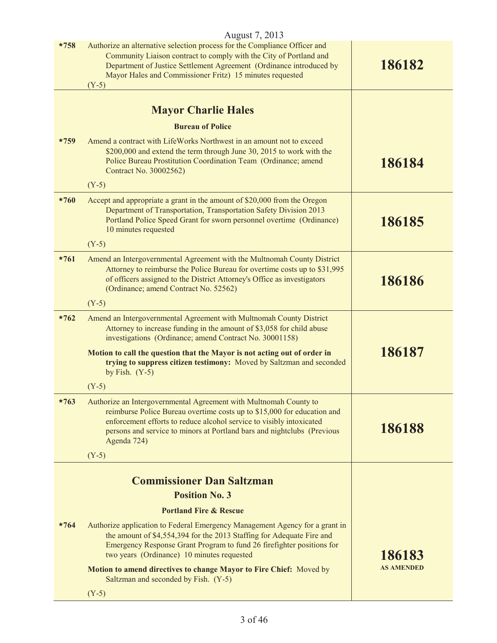| August 7, 2013 |                                                                                                                                                                                                                                                                                                                |                   |  |
|----------------|----------------------------------------------------------------------------------------------------------------------------------------------------------------------------------------------------------------------------------------------------------------------------------------------------------------|-------------------|--|
| $*758$         | Authorize an alternative selection process for the Compliance Officer and<br>Community Liaison contract to comply with the City of Portland and<br>Department of Justice Settlement Agreement (Ordinance introduced by<br>Mayor Hales and Commissioner Fritz) 15 minutes requested<br>$(Y-5)$                  | 186182            |  |
|                |                                                                                                                                                                                                                                                                                                                |                   |  |
|                | <b>Mayor Charlie Hales</b>                                                                                                                                                                                                                                                                                     |                   |  |
|                | <b>Bureau of Police</b>                                                                                                                                                                                                                                                                                        |                   |  |
| $*759$         | Amend a contract with LifeWorks Northwest in an amount not to exceed<br>\$200,000 and extend the term through June 30, 2015 to work with the<br>Police Bureau Prostitution Coordination Team (Ordinance; amend<br>Contract No. 30002562)                                                                       | 186184            |  |
|                | $(Y-5)$                                                                                                                                                                                                                                                                                                        |                   |  |
| $*760$         | Accept and appropriate a grant in the amount of \$20,000 from the Oregon<br>Department of Transportation, Transportation Safety Division 2013<br>Portland Police Speed Grant for sworn personnel overtime (Ordinance)<br>10 minutes requested                                                                  | 186185            |  |
|                | $(Y-5)$                                                                                                                                                                                                                                                                                                        |                   |  |
| $*761$         | Amend an Intergovernmental Agreement with the Multnomah County District<br>Attorney to reimburse the Police Bureau for overtime costs up to \$31,995<br>of officers assigned to the District Attorney's Office as investigators<br>(Ordinance; amend Contract No. 52562)                                       | 186186            |  |
|                | $(Y-5)$                                                                                                                                                                                                                                                                                                        |                   |  |
| $*762$         | Amend an Intergovernmental Agreement with Multnomah County District<br>Attorney to increase funding in the amount of \$3,058 for child abuse<br>investigations (Ordinance; amend Contract No. 30001158)                                                                                                        |                   |  |
|                | Motion to call the question that the Mayor is not acting out of order in<br>trying to suppress citizen testimony: Moved by Saltzman and seconded<br>by Fish. $(Y-5)$                                                                                                                                           | 186187            |  |
|                | $(Y-5)$                                                                                                                                                                                                                                                                                                        |                   |  |
| $*763$         | Authorize an Intergovernmental Agreement with Multnomah County to<br>reimburse Police Bureau overtime costs up to \$15,000 for education and<br>enforcement efforts to reduce alcohol service to visibly intoxicated<br>persons and service to minors at Portland bars and nightclubs (Previous<br>Agenda 724) | 186188            |  |
|                | $(Y-5)$                                                                                                                                                                                                                                                                                                        |                   |  |
|                | <b>Commissioner Dan Saltzman</b>                                                                                                                                                                                                                                                                               |                   |  |
|                | <b>Position No. 3</b>                                                                                                                                                                                                                                                                                          |                   |  |
|                | <b>Portland Fire &amp; Rescue</b>                                                                                                                                                                                                                                                                              |                   |  |
| $*764$         | Authorize application to Federal Emergency Management Agency for a grant in<br>the amount of \$4,554,394 for the 2013 Staffing for Adequate Fire and<br>Emergency Response Grant Program to fund 26 firefighter positions for<br>two years (Ordinance) 10 minutes requested                                    | 186183            |  |
|                | Motion to amend directives to change Mayor to Fire Chief: Moved by<br>Saltzman and seconded by Fish. (Y-5)                                                                                                                                                                                                     | <b>AS AMENDED</b> |  |
|                | $(Y-5)$                                                                                                                                                                                                                                                                                                        |                   |  |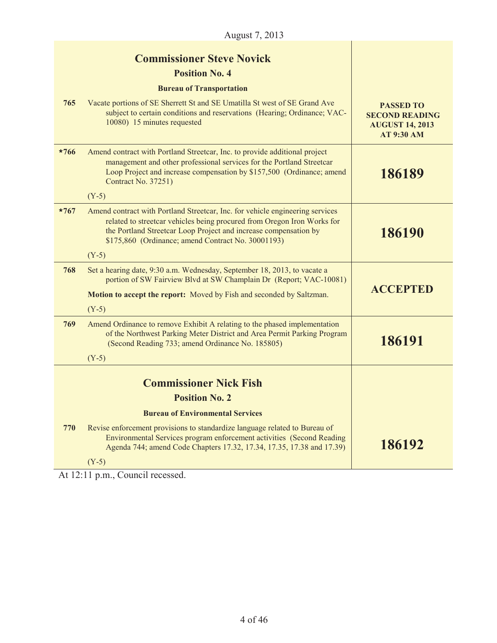|        | August 7, 2013                                                                                                                                                                                                                                                                     |                                                                                          |  |
|--------|------------------------------------------------------------------------------------------------------------------------------------------------------------------------------------------------------------------------------------------------------------------------------------|------------------------------------------------------------------------------------------|--|
|        | <b>Commissioner Steve Novick</b><br><b>Position No. 4</b><br><b>Bureau of Transportation</b>                                                                                                                                                                                       |                                                                                          |  |
| 765    | Vacate portions of SE Sherrett St and SE Umatilla St west of SE Grand Ave<br>subject to certain conditions and reservations (Hearing; Ordinance; VAC-<br>10080) 15 minutes requested                                                                                               | <b>PASSED TO</b><br><b>SECOND READING</b><br><b>AUGUST 14, 2013</b><br><b>AT 9:30 AM</b> |  |
| $*766$ | Amend contract with Portland Streetcar, Inc. to provide additional project<br>management and other professional services for the Portland Streetcar<br>Loop Project and increase compensation by \$157,500 (Ordinance; amend<br>Contract No. 37251)<br>$(Y-5)$                     | 186189                                                                                   |  |
| $*767$ | Amend contract with Portland Streetcar, Inc. for vehicle engineering services<br>related to streetcar vehicles being procured from Oregon Iron Works for<br>the Portland Streetcar Loop Project and increase compensation by<br>\$175,860 (Ordinance; amend Contract No. 30001193) | 186190                                                                                   |  |
|        | $(Y-5)$                                                                                                                                                                                                                                                                            |                                                                                          |  |
| 768    | Set a hearing date, 9:30 a.m. Wednesday, September 18, 2013, to vacate a<br>portion of SW Fairview Blvd at SW Champlain Dr (Report; VAC-10081)                                                                                                                                     |                                                                                          |  |
|        | <b>Motion to accept the report:</b> Moved by Fish and seconded by Saltzman.                                                                                                                                                                                                        | <b>ACCEPTED</b>                                                                          |  |
|        | $(Y-5)$                                                                                                                                                                                                                                                                            |                                                                                          |  |
| 769    | Amend Ordinance to remove Exhibit A relating to the phased implementation<br>of the Northwest Parking Meter District and Area Permit Parking Program<br>(Second Reading 733; amend Ordinance No. 185805)                                                                           | 186191                                                                                   |  |
|        | $(Y-5)$                                                                                                                                                                                                                                                                            |                                                                                          |  |
|        | <b>Commissioner Nick Fish</b>                                                                                                                                                                                                                                                      |                                                                                          |  |
|        | <b>Position No. 2</b>                                                                                                                                                                                                                                                              |                                                                                          |  |
|        | <b>Bureau of Environmental Services</b>                                                                                                                                                                                                                                            |                                                                                          |  |
| 770    | Revise enforcement provisions to standardize language related to Bureau of<br>Environmental Services program enforcement activities (Second Reading)<br>Agenda 744; amend Code Chapters 17.32, 17.34, 17.35, 17.38 and 17.39)                                                      | 186192                                                                                   |  |
|        | $(Y-5)$                                                                                                                                                                                                                                                                            |                                                                                          |  |

At 12:11 p.m., Council recessed.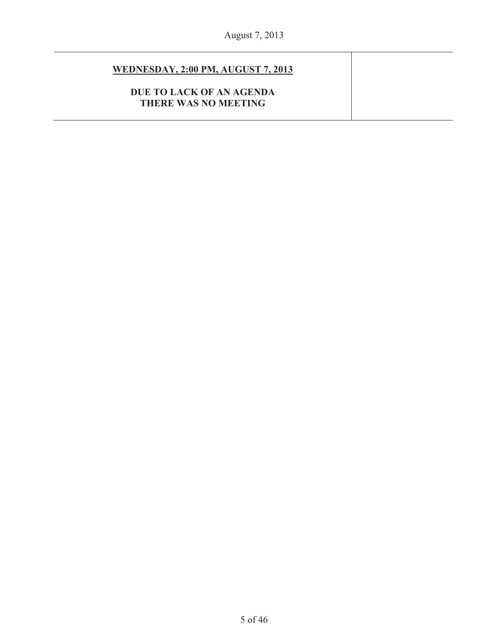## **WEDNESDAY, 2:00 PM, AUGUST 7, 2013**

**DUE TO LACK OF AN AGENDA THERE WAS NO MEETING**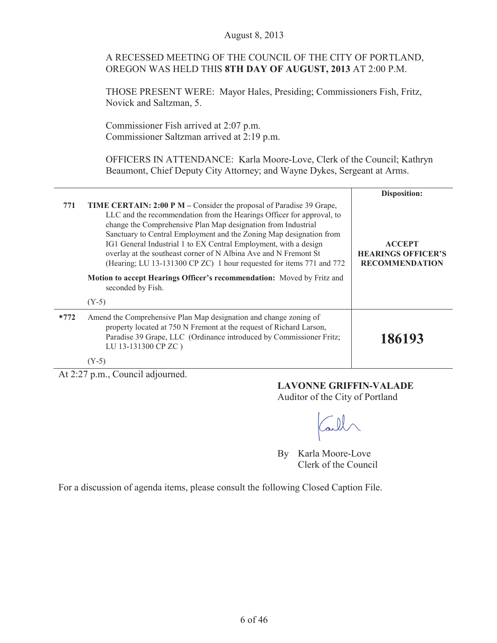#### August 8, 2013

|  |                                                           | A RECESSED MEETING OF THE COUNCIL OF THE CITY OF PORTLAND, |
|--|-----------------------------------------------------------|------------------------------------------------------------|
|  | OREGON WAS HELD THIS 8TH DAY OF AUGUST, 2013 AT 2:00 P.M. |                                                            |

THOSE PRESENT WERE: Mayor Hales, Presiding; Commissioners Fish, Fritz, Novick and Saltzman, 5.

Commissioner Fish arrived at 2:07 p.m. Commissioner Saltzman arrived at 2:19 p.m.

OFFICERS IN ATTENDANCE: Karla Moore-Love, Clerk of the Council; Kathryn Beaumont, Chief Deputy City Attorney; and Wayne Dykes, Sergeant at Arms.

|        |                                                                                                                                                                                                                                                                                                                                                                                                                                                                                                                                                                                                             | <b>Disposition:</b>                                                 |
|--------|-------------------------------------------------------------------------------------------------------------------------------------------------------------------------------------------------------------------------------------------------------------------------------------------------------------------------------------------------------------------------------------------------------------------------------------------------------------------------------------------------------------------------------------------------------------------------------------------------------------|---------------------------------------------------------------------|
| 771    | <b>TIME CERTAIN: 2:00 P M – Consider the proposal of Paradise 39 Grape,</b><br>LLC and the recommendation from the Hearings Officer for approval, to<br>change the Comprehensive Plan Map designation from Industrial<br>Sanctuary to Central Employment and the Zoning Map designation from<br>IG1 General Industrial 1 to EX Central Employment, with a design<br>overlay at the southeast corner of N Albina Ave and N Fremont St<br>(Hearing; LU 13-131300 CP ZC) 1 hour requested for items 771 and 772<br>Motion to accept Hearings Officer's recommendation: Moved by Fritz and<br>seconded by Fish. | <b>ACCEPT</b><br><b>HEARINGS OFFICER'S</b><br><b>RECOMMENDATION</b> |
|        | $(Y-5)$                                                                                                                                                                                                                                                                                                                                                                                                                                                                                                                                                                                                     |                                                                     |
| $*772$ | Amend the Comprehensive Plan Map designation and change zoning of<br>property located at 750 N Fremont at the request of Richard Larson,<br>Paradise 39 Grape, LLC (Ordinance introduced by Commissioner Fritz;<br>LU 13-131300 CP ZC)                                                                                                                                                                                                                                                                                                                                                                      | 186193                                                              |
|        | $(Y-5)$                                                                                                                                                                                                                                                                                                                                                                                                                                                                                                                                                                                                     |                                                                     |

At 2:27 p.m., Council adjourned.

## **LAVONNE GRIFFIN-VALADE**

Auditor of the City of Portland

all

By Karla Moore-Love Clerk of the Council

For a discussion of agenda items, please consult the following Closed Caption File.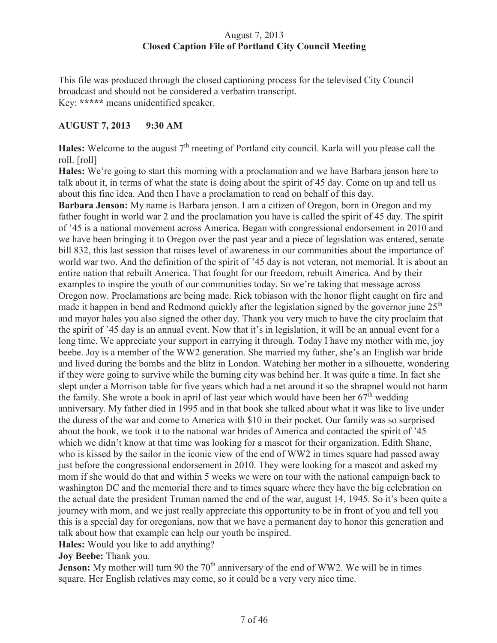## August 7, 2013 **Closed Caption File of Portland City Council Meeting**

This file was produced through the closed captioning process for the televised City Council broadcast and should not be considered a verbatim transcript. Key: **\*\*\*\*\*** means unidentified speaker.

## **AUGUST 7, 2013 9:30 AM**

Hales: Welcome to the august 7<sup>th</sup> meeting of Portland city council. Karla will you please call the roll. [roll]

**Hales:** We're going to start this morning with a proclamation and we have Barbara jenson here to talk about it, in terms of what the state is doing about the spirit of 45 day. Come on up and tell us about this fine idea. And then I have a proclamation to read on behalf of this day.

**Barbara Jenson:** My name is Barbara jenson. I am a citizen of Oregon, born in Oregon and my father fought in world war 2 and the proclamation you have is called the spirit of 45 day. The spirit of '45 is a national movement across America. Began with congressional endorsement in 2010 and we have been bringing it to Oregon over the past year and a piece of legislation was entered, senate bill 832, this last session that raises level of awareness in our communities about the importance of world war two. And the definition of the spirit of '45 day is not veteran, not memorial. It is about an entire nation that rebuilt America. That fought for our freedom, rebuilt America. And by their examples to inspire the youth of our communities today. So we're taking that message across Oregon now. Proclamations are being made. Rick tobiason with the honor flight caught on fire and made it happen in bend and Redmond quickly after the legislation signed by the governor june  $25<sup>th</sup>$ and mayor hales you also signed the other day. Thank you very much to have the city proclaim that the spirit of '45 day is an annual event. Now that it's in legislation, it will be an annual event for a long time. We appreciate your support in carrying it through. Today I have my mother with me, joy beebe. Joy is a member of the WW2 generation. She married my father, she's an English war bride and lived during the bombs and the blitz in London. Watching her mother in a silhouette, wondering if they were going to survive while the burning city was behind her. It was quite a time. In fact she slept under a Morrison table for five years which had a net around it so the shrapnel would not harm the family. She wrote a book in april of last year which would have been her  $67<sup>th</sup>$  wedding anniversary. My father died in 1995 and in that book she talked about what it was like to live under the duress of the war and come to America with \$10 in their pocket. Our family was so surprised about the book, we took it to the national war brides of America and contacted the spirit of '45 which we didn't know at that time was looking for a mascot for their organization. Edith Shane, who is kissed by the sailor in the iconic view of the end of WW2 in times square had passed away just before the congressional endorsement in 2010. They were looking for a mascot and asked my mom if she would do that and within 5 weeks we were on tour with the national campaign back to washington DC and the memorial there and to times square where they have the big celebration on the actual date the president Truman named the end of the war, august 14, 1945. So it's been quite a journey with mom, and we just really appreciate this opportunity to be in front of you and tell you this is a special day for oregonians, now that we have a permanent day to honor this generation and talk about how that example can help our youth be inspired.

**Hales:** Would you like to add anything?

**Joy Beebe:** Thank you.

**Jenson:** My mother will turn 90 the 70<sup>th</sup> anniversary of the end of WW2. We will be in times square. Her English relatives may come, so it could be a very very nice time.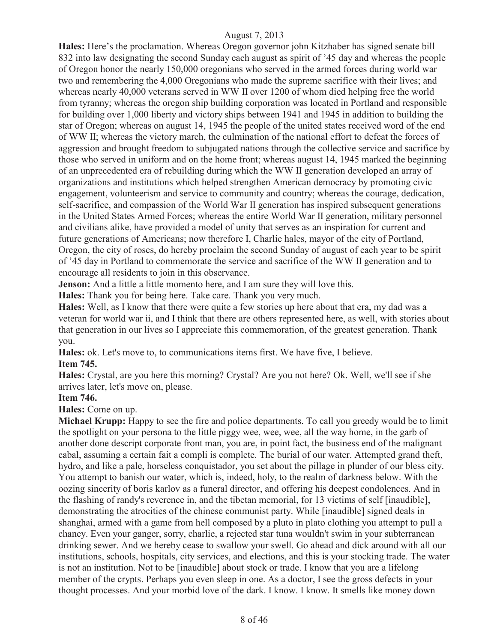**Hales:** Here's the proclamation. Whereas Oregon governor john Kitzhaber has signed senate bill 832 into law designating the second Sunday each august as spirit of '45 day and whereas the people of Oregon honor the nearly 150,000 oregonians who served in the armed forces during world war two and remembering the 4,000 Oregonians who made the supreme sacrifice with their lives; and whereas nearly 40,000 veterans served in WW II over 1200 of whom died helping free the world from tyranny; whereas the oregon ship building corporation was located in Portland and responsible for building over 1,000 liberty and victory ships between 1941 and 1945 in addition to building the star of Oregon; whereas on august 14, 1945 the people of the united states received word of the end of WW II; whereas the victory march, the culmination of the national effort to defeat the forces of aggression and brought freedom to subjugated nations through the collective service and sacrifice by those who served in uniform and on the home front; whereas august 14, 1945 marked the beginning of an unprecedented era of rebuilding during which the WW II generation developed an array of organizations and institutions which helped strengthen American democracy by promoting civic engagement, volunteerism and service to community and country; whereas the courage, dedication, self-sacrifice, and compassion of the World War II generation has inspired subsequent generations in the United States Armed Forces; whereas the entire World War II generation, military personnel and civilians alike, have provided a model of unity that serves as an inspiration for current and future generations of Americans; now therefore I, Charlie hales, mayor of the city of Portland, Oregon, the city of roses, do hereby proclaim the second Sunday of august of each year to be spirit of '45 day in Portland to commemorate the service and sacrifice of the WW II generation and to encourage all residents to join in this observance.

**Jenson:** And a little a little momento here, and I am sure they will love this.

**Hales:** Thank you for being here. Take care. Thank you very much.

**Hales:** Well, as I know that there were quite a few stories up here about that era, my dad was a veteran for world war ii, and I think that there are others represented here, as well, with stories about that generation in our lives so I appreciate this commemoration, of the greatest generation. Thank you.

**Hales:** ok. Let's move to, to communications items first. We have five, I believe. **Item 745.**

**Hales:** Crystal, are you here this morning? Crystal? Are you not here? Ok. Well, we'll see if she arrives later, let's move on, please.

#### **Item 746.**

**Hales:** Come on up.

**Michael Krupp:** Happy to see the fire and police departments. To call you greedy would be to limit the spotlight on your persona to the little piggy wee, wee, wee, all the way home, in the garb of another done descript corporate front man, you are, in point fact, the business end of the malignant cabal, assuming a certain fait a compli is complete. The burial of our water. Attempted grand theft, hydro, and like a pale, horseless conquistador, you set about the pillage in plunder of our bless city. You attempt to banish our water, which is, indeed, holy, to the realm of darkness below. With the oozing sincerity of boris karlov as a funeral director, and offering his deepest condolences. And in the flashing of randy's reverence in, and the tibetan memorial, for 13 victims of self [inaudible], demonstrating the atrocities of the chinese communist party. While [inaudible] signed deals in shanghai, armed with a game from hell composed by a pluto in plato clothing you attempt to pull a chaney. Even your ganger, sorry, charlie, a rejected star tuna wouldn't swim in your subterranean drinking sewer. And we hereby cease to swallow your swell. Go ahead and dick around with all our institutions, schools, hospitals, city services, and elections, and this is your stocking trade. The water is not an institution. Not to be [inaudible] about stock or trade. I know that you are a lifelong member of the crypts. Perhaps you even sleep in one. As a doctor, I see the gross defects in your thought processes. And your morbid love of the dark. I know. I know. It smells like money down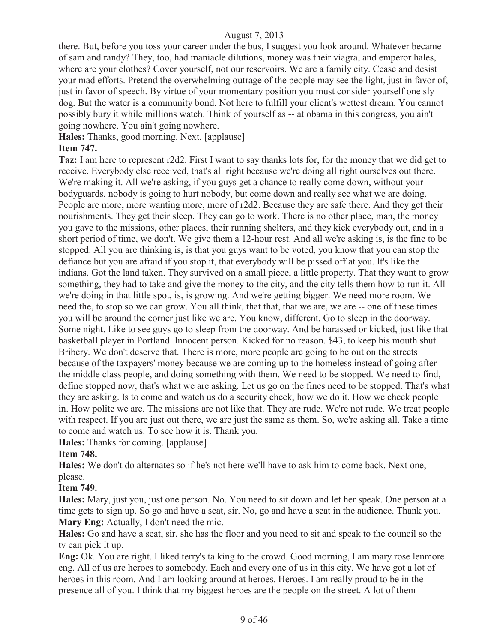there. But, before you toss your career under the bus, I suggest you look around. Whatever became of sam and randy? They, too, had maniacle dilutions, money was their viagra, and emperor hales, where are your clothes? Cover yourself, not our reservoirs. We are a family city. Cease and desist your mad efforts. Pretend the overwhelming outrage of the people may see the light, just in favor of, just in favor of speech. By virtue of your momentary position you must consider yourself one sly dog. But the water is a community bond. Not here to fulfill your client's wettest dream. You cannot possibly bury it while millions watch. Think of yourself as -- at obama in this congress, you ain't going nowhere. You ain't going nowhere.

**Hales:** Thanks, good morning. Next. [applause]

## **Item 747.**

**Taz:** I am here to represent r2d2. First I want to say thanks lots for, for the money that we did get to receive. Everybody else received, that's all right because we're doing all right ourselves out there. We're making it. All we're asking, if you guys get a chance to really come down, without your bodyguards, nobody is going to hurt nobody, but come down and really see what we are doing. People are more, more wanting more, more of r2d2. Because they are safe there. And they get their nourishments. They get their sleep. They can go to work. There is no other place, man, the money you gave to the missions, other places, their running shelters, and they kick everybody out, and in a short period of time, we don't. We give them a 12-hour rest. And all we're asking is, is the fine to be stopped. All you are thinking is, is that you guys want to be voted, you know that you can stop the defiance but you are afraid if you stop it, that everybody will be pissed off at you. It's like the indians. Got the land taken. They survived on a small piece, a little property. That they want to grow something, they had to take and give the money to the city, and the city tells them how to run it. All we're doing in that little spot, is, is growing. And we're getting bigger. We need more room. We need the, to stop so we can grow. You all think, that that, that we are, we are -- one of these times you will be around the corner just like we are. You know, different. Go to sleep in the doorway. Some night. Like to see guys go to sleep from the doorway. And be harassed or kicked, just like that basketball player in Portland. Innocent person. Kicked for no reason. \$43, to keep his mouth shut. Bribery. We don't deserve that. There is more, more people are going to be out on the streets because of the taxpayers' money because we are coming up to the homeless instead of going after the middle class people, and doing something with them. We need to be stopped. We need to find, define stopped now, that's what we are asking. Let us go on the fines need to be stopped. That's what they are asking. Is to come and watch us do a security check, how we do it. How we check people in. How polite we are. The missions are not like that. They are rude. We're not rude. We treat people with respect. If you are just out there, we are just the same as them. So, we're asking all. Take a time to come and watch us. To see how it is. Thank you.

**Hales:** Thanks for coming. [applause]

## **Item 748.**

**Hales:** We don't do alternates so if he's not here we'll have to ask him to come back. Next one, please.

## **Item 749.**

**Hales:** Mary, just you, just one person. No. You need to sit down and let her speak. One person at a time gets to sign up. So go and have a seat, sir. No, go and have a seat in the audience. Thank you. **Mary Eng:** Actually, I don't need the mic.

**Hales:** Go and have a seat, sir, she has the floor and you need to sit and speak to the council so the tv can pick it up.

**Eng:** Ok. You are right. I liked terry's talking to the crowd. Good morning, I am mary rose lenmore eng. All of us are heroes to somebody. Each and every one of us in this city. We have got a lot of heroes in this room. And I am looking around at heroes. Heroes. I am really proud to be in the presence all of you. I think that my biggest heroes are the people on the street. A lot of them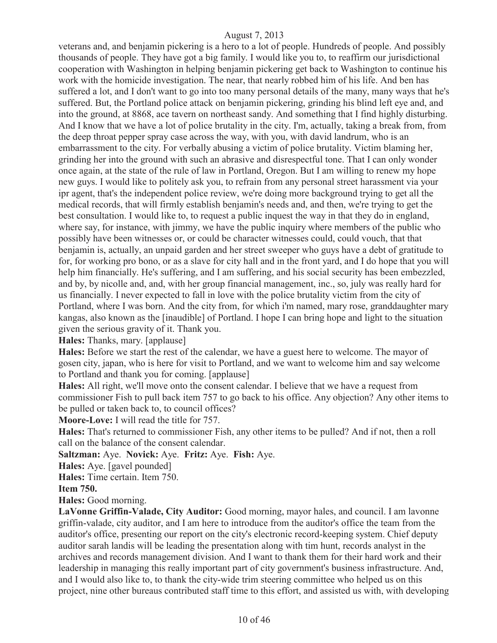veterans and, and benjamin pickering is a hero to a lot of people. Hundreds of people. And possibly thousands of people. They have got a big family. I would like you to, to reaffirm our jurisdictional cooperation with Washington in helping benjamin pickering get back to Washington to continue his work with the homicide investigation. The near, that nearly robbed him of his life. And ben has suffered a lot, and I don't want to go into too many personal details of the many, many ways that he's suffered. But, the Portland police attack on benjamin pickering, grinding his blind left eye and, and into the ground, at 8868, ace tavern on northeast sandy. And something that I find highly disturbing. And I know that we have a lot of police brutality in the city. I'm, actually, taking a break from, from the deep throat pepper spray case across the way, with you, with david landrum, who is an embarrassment to the city. For verbally abusing a victim of police brutality. Victim blaming her, grinding her into the ground with such an abrasive and disrespectful tone. That I can only wonder once again, at the state of the rule of law in Portland, Oregon. But I am willing to renew my hope new guys. I would like to politely ask you, to refrain from any personal street harassment via your ipr agent, that's the independent police review, we're doing more background trying to get all the medical records, that will firmly establish benjamin's needs and, and then, we're trying to get the best consultation. I would like to, to request a public inquest the way in that they do in england, where say, for instance, with jimmy, we have the public inquiry where members of the public who possibly have been witnesses or, or could be character witnesses could, could vouch, that that benjamin is, actually, an unpaid garden and her street sweeper who guys have a debt of gratitude to for, for working pro bono, or as a slave for city hall and in the front yard, and I do hope that you will help him financially. He's suffering, and I am suffering, and his social security has been embezzled, and by, by nicolle and, and, with her group financial management, inc., so, july was really hard for us financially. I never expected to fall in love with the police brutality victim from the city of Portland, where I was born. And the city from, for which i'm named, mary rose, granddaughter mary kangas, also known as the [inaudible] of Portland. I hope I can bring hope and light to the situation given the serious gravity of it. Thank you.

**Hales:** Thanks, mary. [applause]

**Hales:** Before we start the rest of the calendar, we have a guest here to welcome. The mayor of gosen city, japan, who is here for visit to Portland, and we want to welcome him and say welcome to Portland and thank you for coming. [applause]

**Hales:** All right, we'll move onto the consent calendar. I believe that we have a request from commissioner Fish to pull back item 757 to go back to his office. Any objection? Any other items to be pulled or taken back to, to council offices?

**Moore-Love:** I will read the title for 757.

**Hales:** That's returned to commissioner Fish, any other items to be pulled? And if not, then a roll call on the balance of the consent calendar.

**Saltzman:** Aye. **Novick:** Aye. **Fritz:** Aye. **Fish:** Aye.

**Hales:** Aye. [gavel pounded]

**Hales:** Time certain. Item 750.

**Item 750.** 

**Hales:** Good morning.

**LaVonne Griffin-Valade, City Auditor:** Good morning, mayor hales, and council. I am lavonne griffin-valade, city auditor, and I am here to introduce from the auditor's office the team from the auditor's office, presenting our report on the city's electronic record-keeping system. Chief deputy auditor sarah landis will be leading the presentation along with tim hunt, records analyst in the archives and records management division. And I want to thank them for their hard work and their leadership in managing this really important part of city government's business infrastructure. And, and I would also like to, to thank the city-wide trim steering committee who helped us on this project, nine other bureaus contributed staff time to this effort, and assisted us with, with developing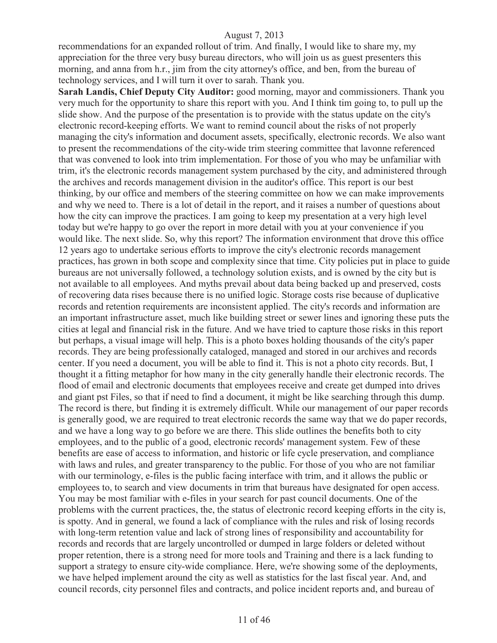recommendations for an expanded rollout of trim. And finally, I would like to share my, my appreciation for the three very busy bureau directors, who will join us as guest presenters this morning, and anna from h.r., jim from the city attorney's office, and ben, from the bureau of technology services, and I will turn it over to sarah. Thank you.

**Sarah Landis, Chief Deputy City Auditor:** good morning, mayor and commissioners. Thank you very much for the opportunity to share this report with you. And I think tim going to, to pull up the slide show. And the purpose of the presentation is to provide with the status update on the city's electronic record-keeping efforts. We want to remind council about the risks of not properly managing the city's information and document assets, specifically, electronic records. We also want to present the recommendations of the city-wide trim steering committee that lavonne referenced that was convened to look into trim implementation. For those of you who may be unfamiliar with trim, it's the electronic records management system purchased by the city, and administered through the archives and records management division in the auditor's office. This report is our best thinking, by our office and members of the steering committee on how we can make improvements and why we need to. There is a lot of detail in the report, and it raises a number of questions about how the city can improve the practices. I am going to keep my presentation at a very high level today but we're happy to go over the report in more detail with you at your convenience if you would like. The next slide. So, why this report? The information environment that drove this office 12 years ago to undertake serious efforts to improve the city's electronic records management practices, has grown in both scope and complexity since that time. City policies put in place to guide bureaus are not universally followed, a technology solution exists, and is owned by the city but is not available to all employees. And myths prevail about data being backed up and preserved, costs of recovering data rises because there is no unified logic. Storage costs rise because of duplicative records and retention requirements are inconsistent applied. The city's records and information are an important infrastructure asset, much like building street or sewer lines and ignoring these puts the cities at legal and financial risk in the future. And we have tried to capture those risks in this report but perhaps, a visual image will help. This is a photo boxes holding thousands of the city's paper records. They are being professionally cataloged, managed and stored in our archives and records center. If you need a document, you will be able to find it. This is not a photo city records. But, I thought it a fitting metaphor for how many in the city generally handle their electronic records. The flood of email and electronic documents that employees receive and create get dumped into drives and giant pst Files, so that if need to find a document, it might be like searching through this dump. The record is there, but finding it is extremely difficult. While our management of our paper records is generally good, we are required to treat electronic records the same way that we do paper records, and we have a long way to go before we are there. This slide outlines the benefits both to city employees, and to the public of a good, electronic records' management system. Few of these benefits are ease of access to information, and historic or life cycle preservation, and compliance with laws and rules, and greater transparency to the public. For those of you who are not familiar with our terminology, e-files is the public facing interface with trim, and it allows the public or employees to, to search and view documents in trim that bureaus have designated for open access. You may be most familiar with e-files in your search for past council documents. One of the problems with the current practices, the, the status of electronic record keeping efforts in the city is, is spotty. And in general, we found a lack of compliance with the rules and risk of losing records with long-term retention value and lack of strong lines of responsibility and accountability for records and records that are largely uncontrolled or dumped in large folders or deleted without proper retention, there is a strong need for more tools and Training and there is a lack funding to support a strategy to ensure city-wide compliance. Here, we're showing some of the deployments, we have helped implement around the city as well as statistics for the last fiscal year. And, and council records, city personnel files and contracts, and police incident reports and, and bureau of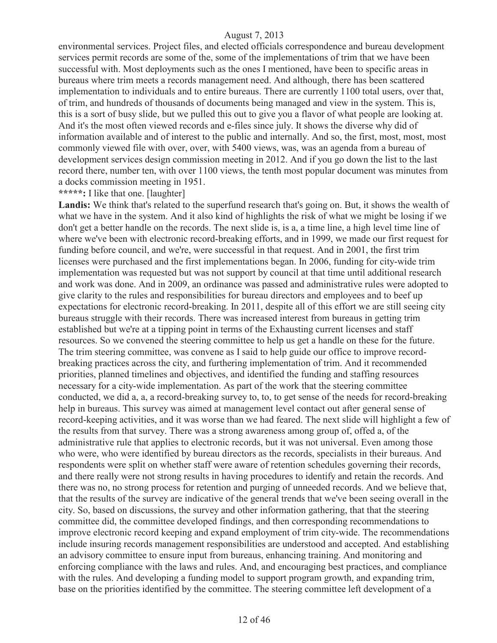environmental services. Project files, and elected officials correspondence and bureau development services permit records are some of the, some of the implementations of trim that we have been successful with. Most deployments such as the ones I mentioned, have been to specific areas in bureaus where trim meets a records management need. And although, there has been scattered implementation to individuals and to entire bureaus. There are currently 1100 total users, over that, of trim, and hundreds of thousands of documents being managed and view in the system. This is, this is a sort of busy slide, but we pulled this out to give you a flavor of what people are looking at. And it's the most often viewed records and e-files since july. It shows the diverse why did of information available and of interest to the public and internally. And so, the first, most, most, most commonly viewed file with over, over, with 5400 views, was, was an agenda from a bureau of development services design commission meeting in 2012. And if you go down the list to the last record there, number ten, with over 1100 views, the tenth most popular document was minutes from a docks commission meeting in 1951.

#### **\*\*\*\*\*:** I like that one. [laughter]

Landis: We think that's related to the superfund research that's going on. But, it shows the wealth of what we have in the system. And it also kind of highlights the risk of what we might be losing if we don't get a better handle on the records. The next slide is, is a, a time line, a high level time line of where we've been with electronic record-breaking efforts, and in 1999, we made our first request for funding before council, and we're, were successful in that request. And in 2001, the first trim licenses were purchased and the first implementations began. In 2006, funding for city-wide trim implementation was requested but was not support by council at that time until additional research and work was done. And in 2009, an ordinance was passed and administrative rules were adopted to give clarity to the rules and responsibilities for bureau directors and employees and to beef up expectations for electronic record-breaking. In 2011, despite all of this effort we are still seeing city bureaus struggle with their records. There was increased interest from bureaus in getting trim established but we're at a tipping point in terms of the Exhausting current licenses and staff resources. So we convened the steering committee to help us get a handle on these for the future. The trim steering committee, was convene as I said to help guide our office to improve recordbreaking practices across the city, and furthering implementation of trim. And it recommended priorities, planned timelines and objectives, and identified the funding and staffing resources necessary for a city-wide implementation. As part of the work that the steering committee conducted, we did a, a, a record-breaking survey to, to, to get sense of the needs for record-breaking help in bureaus. This survey was aimed at management level contact out after general sense of record-keeping activities, and it was worse than we had feared. The next slide will highlight a few of the results from that survey. There was a strong awareness among group of, offed a, of the administrative rule that applies to electronic records, but it was not universal. Even among those who were, who were identified by bureau directors as the records, specialists in their bureaus. And respondents were split on whether staff were aware of retention schedules governing their records, and there really were not strong results in having procedures to identify and retain the records. And there was no, no strong process for retention and purging of unneeded records. And we believe that, that the results of the survey are indicative of the general trends that we've been seeing overall in the city. So, based on discussions, the survey and other information gathering, that that the steering committee did, the committee developed findings, and then corresponding recommendations to improve electronic record keeping and expand employment of trim city-wide. The recommendations include insuring records management responsibilities are understood and accepted. And establishing an advisory committee to ensure input from bureaus, enhancing training. And monitoring and enforcing compliance with the laws and rules. And, and encouraging best practices, and compliance with the rules. And developing a funding model to support program growth, and expanding trim, base on the priorities identified by the committee. The steering committee left development of a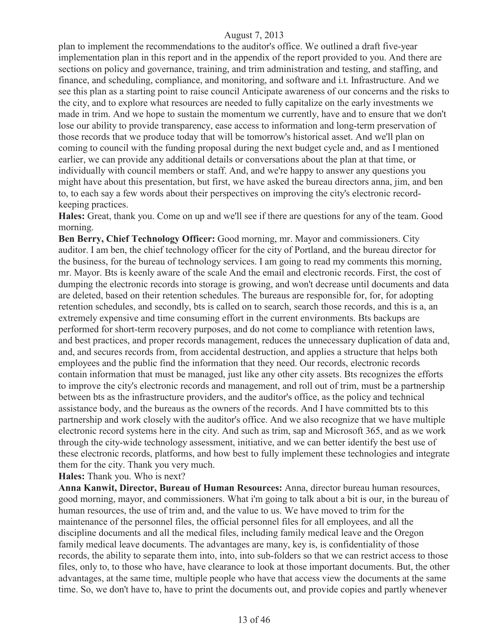plan to implement the recommendations to the auditor's office. We outlined a draft five-year implementation plan in this report and in the appendix of the report provided to you. And there are sections on policy and governance, training, and trim administration and testing, and staffing, and finance, and scheduling, compliance, and monitoring, and software and i.t. Infrastructure. And we see this plan as a starting point to raise council Anticipate awareness of our concerns and the risks to the city, and to explore what resources are needed to fully capitalize on the early investments we made in trim. And we hope to sustain the momentum we currently, have and to ensure that we don't lose our ability to provide transparency, ease access to information and long-term preservation of those records that we produce today that will be tomorrow's historical asset. And we'll plan on coming to council with the funding proposal during the next budget cycle and, and as I mentioned earlier, we can provide any additional details or conversations about the plan at that time, or individually with council members or staff. And, and we're happy to answer any questions you might have about this presentation, but first, we have asked the bureau directors anna, jim, and ben to, to each say a few words about their perspectives on improving the city's electronic recordkeeping practices.

**Hales:** Great, thank you. Come on up and we'll see if there are questions for any of the team. Good morning.

**Ben Berry, Chief Technology Officer:** Good morning, mr. Mayor and commissioners. City auditor. I am ben, the chief technology officer for the city of Portland, and the bureau director for the business, for the bureau of technology services. I am going to read my comments this morning, mr. Mayor. Bts is keenly aware of the scale And the email and electronic records. First, the cost of dumping the electronic records into storage is growing, and won't decrease until documents and data are deleted, based on their retention schedules. The bureaus are responsible for, for, for adopting retention schedules, and secondly, bts is called on to search, search those records, and this is a, an extremely expensive and time consuming effort in the current environments. Bts backups are performed for short-term recovery purposes, and do not come to compliance with retention laws, and best practices, and proper records management, reduces the unnecessary duplication of data and, and, and secures records from, from accidental destruction, and applies a structure that helps both employees and the public find the information that they need. Our records, electronic records contain information that must be managed, just like any other city assets. Bts recognizes the efforts to improve the city's electronic records and management, and roll out of trim, must be a partnership between bts as the infrastructure providers, and the auditor's office, as the policy and technical assistance body, and the bureaus as the owners of the records. And I have committed bts to this partnership and work closely with the auditor's office. And we also recognize that we have multiple electronic record systems here in the city. And such as trim, sap and Microsoft 365, and as we work through the city-wide technology assessment, initiative, and we can better identify the best use of these electronic records, platforms, and how best to fully implement these technologies and integrate them for the city. Thank you very much.

**Hales:** Thank you. Who is next?

**Anna Kanwit, Director, Bureau of Human Resources:** Anna, director bureau human resources, good morning, mayor, and commissioners. What i'm going to talk about a bit is our, in the bureau of human resources, the use of trim and, and the value to us. We have moved to trim for the maintenance of the personnel files, the official personnel files for all employees, and all the discipline documents and all the medical files, including family medical leave and the Oregon family medical leave documents. The advantages are many, key is, is confidentiality of those records, the ability to separate them into, into, into sub-folders so that we can restrict access to those files, only to, to those who have, have clearance to look at those important documents. But, the other advantages, at the same time, multiple people who have that access view the documents at the same time. So, we don't have to, have to print the documents out, and provide copies and partly whenever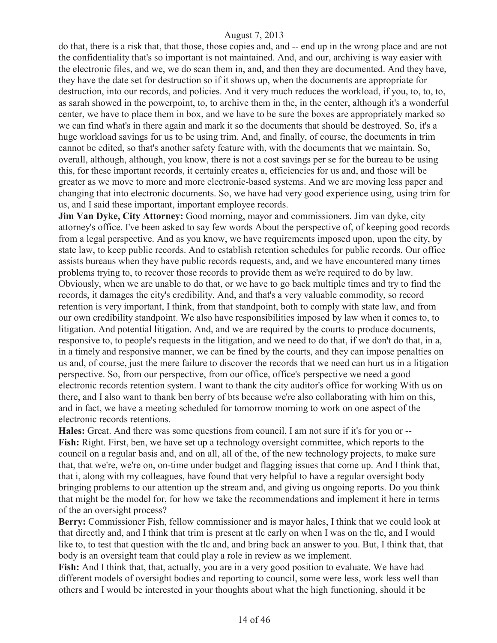do that, there is a risk that, that those, those copies and, and -- end up in the wrong place and are not the confidentiality that's so important is not maintained. And, and our, archiving is way easier with the electronic files, and we, we do scan them in, and, and then they are documented. And they have, they have the date set for destruction so if it shows up, when the documents are appropriate for destruction, into our records, and policies. And it very much reduces the workload, if you, to, to, to, as sarah showed in the powerpoint, to, to archive them in the, in the center, although it's a wonderful center, we have to place them in box, and we have to be sure the boxes are appropriately marked so we can find what's in there again and mark it so the documents that should be destroyed. So, it's a huge workload savings for us to be using trim. And, and finally, of course, the documents in trim cannot be edited, so that's another safety feature with, with the documents that we maintain. So, overall, although, although, you know, there is not a cost savings per se for the bureau to be using this, for these important records, it certainly creates a, efficiencies for us and, and those will be greater as we move to more and more electronic-based systems. And we are moving less paper and changing that into electronic documents. So, we have had very good experience using, using trim for us, and I said these important, important employee records.

**Jim Van Dyke, City Attorney:** Good morning, mayor and commissioners. Jim van dyke, city attorney's office. I've been asked to say few words About the perspective of, of keeping good records from a legal perspective. And as you know, we have requirements imposed upon, upon the city, by state law, to keep public records. And to establish retention schedules for public records. Our office assists bureaus when they have public records requests, and, and we have encountered many times problems trying to, to recover those records to provide them as we're required to do by law. Obviously, when we are unable to do that, or we have to go back multiple times and try to find the records, it damages the city's credibility. And, and that's a very valuable commodity, so record retention is very important, I think, from that standpoint, both to comply with state law, and from our own credibility standpoint. We also have responsibilities imposed by law when it comes to, to litigation. And potential litigation. And, and we are required by the courts to produce documents, responsive to, to people's requests in the litigation, and we need to do that, if we don't do that, in a, in a timely and responsive manner, we can be fined by the courts, and they can impose penalties on us and, of course, just the mere failure to discover the records that we need can hurt us in a litigation perspective. So, from our perspective, from our office, office's perspective we need a good electronic records retention system. I want to thank the city auditor's office for working With us on there, and I also want to thank ben berry of bts because we're also collaborating with him on this, and in fact, we have a meeting scheduled for tomorrow morning to work on one aspect of the electronic records retentions.

**Hales:** Great. And there was some questions from council, I am not sure if it's for you or -- Fish: Right. First, ben, we have set up a technology oversight committee, which reports to the council on a regular basis and, and on all, all of the, of the new technology projects, to make sure that, that we're, we're on, on-time under budget and flagging issues that come up. And I think that, that i, along with my colleagues, have found that very helpful to have a regular oversight body bringing problems to our attention up the stream and, and giving us ongoing reports. Do you think that might be the model for, for how we take the recommendations and implement it here in terms of the an oversight process?

**Berry:** Commissioner Fish, fellow commissioner and is mayor hales, I think that we could look at that directly and, and I think that trim is present at tlc early on when I was on the tlc, and I would like to, to test that question with the tlc and, and bring back an answer to you. But, I think that, that body is an oversight team that could play a role in review as we implement.

**Fish:** And I think that, that, actually, you are in a very good position to evaluate. We have had different models of oversight bodies and reporting to council, some were less, work less well than others and I would be interested in your thoughts about what the high functioning, should it be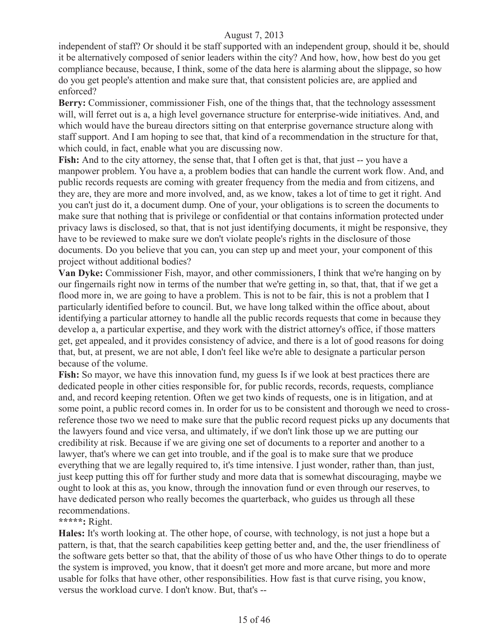independent of staff? Or should it be staff supported with an independent group, should it be, should it be alternatively composed of senior leaders within the city? And how, how, how best do you get compliance because, because, I think, some of the data here is alarming about the slippage, so how do you get people's attention and make sure that, that consistent policies are, are applied and enforced?

Berry: Commissioner, commissioner Fish, one of the things that, that the technology assessment will, will ferret out is a, a high level governance structure for enterprise-wide initiatives. And, and which would have the bureau directors sitting on that enterprise governance structure along with staff support. And I am hoping to see that, that kind of a recommendation in the structure for that, which could, in fact, enable what you are discussing now.

Fish: And to the city attorney, the sense that, that I often get is that, that just -- you have a manpower problem. You have a, a problem bodies that can handle the current work flow. And, and public records requests are coming with greater frequency from the media and from citizens, and they are, they are more and more involved, and, as we know, takes a lot of time to get it right. And you can't just do it, a document dump. One of your, your obligations is to screen the documents to make sure that nothing that is privilege or confidential or that contains information protected under privacy laws is disclosed, so that, that is not just identifying documents, it might be responsive, they have to be reviewed to make sure we don't violate people's rights in the disclosure of those documents. Do you believe that you can, you can step up and meet your, your component of this project without additional bodies?

**Van Dyke:** Commissioner Fish, mayor, and other commissioners, I think that we're hanging on by our fingernails right now in terms of the number that we're getting in, so that, that, that if we get a flood more in, we are going to have a problem. This is not to be fair, this is not a problem that I particularly identified before to council. But, we have long talked within the office about, about identifying a particular attorney to handle all the public records requests that come in because they develop a, a particular expertise, and they work with the district attorney's office, if those matters get, get appealed, and it provides consistency of advice, and there is a lot of good reasons for doing that, but, at present, we are not able, I don't feel like we're able to designate a particular person because of the volume.

**Fish:** So mayor, we have this innovation fund, my guess Is if we look at best practices there are dedicated people in other cities responsible for, for public records, records, requests, compliance and, and record keeping retention. Often we get two kinds of requests, one is in litigation, and at some point, a public record comes in. In order for us to be consistent and thorough we need to crossreference those two we need to make sure that the public record request picks up any documents that the lawyers found and vice versa, and ultimately, if we don't link those up we are putting our credibility at risk. Because if we are giving one set of documents to a reporter and another to a lawyer, that's where we can get into trouble, and if the goal is to make sure that we produce everything that we are legally required to, it's time intensive. I just wonder, rather than, than just, just keep putting this off for further study and more data that is somewhat discouraging, maybe we ought to look at this as, you know, through the innovation fund or even through our reserves, to have dedicated person who really becomes the quarterback, who guides us through all these recommendations.

## **\*\*\*\*\*:** Right.

**Hales:** It's worth looking at. The other hope, of course, with technology, is not just a hope but a pattern, is that, that the search capabilities keep getting better and, and the, the user friendliness of the software gets better so that, that the ability of those of us who have Other things to do to operate the system is improved, you know, that it doesn't get more and more arcane, but more and more usable for folks that have other, other responsibilities. How fast is that curve rising, you know, versus the workload curve. I don't know. But, that's --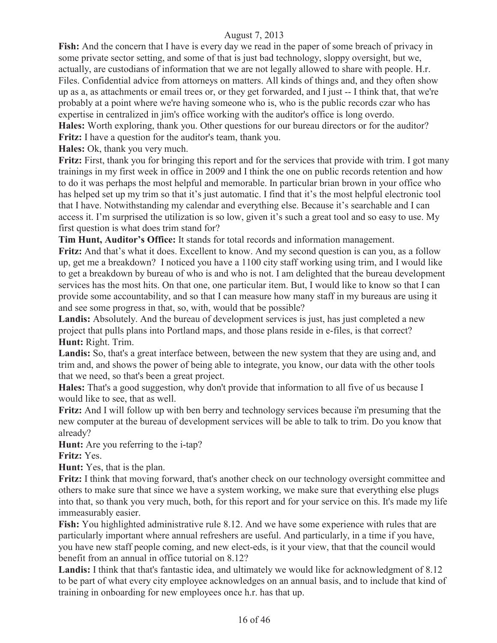**Fish:** And the concern that I have is every day we read in the paper of some breach of privacy in some private sector setting, and some of that is just bad technology, sloppy oversight, but we, actually, are custodians of information that we are not legally allowed to share with people. H.r. Files. Confidential advice from attorneys on matters. All kinds of things and, and they often show up as a, as attachments or email trees or, or they get forwarded, and I just -- I think that, that we're probably at a point where we're having someone who is, who is the public records czar who has expertise in centralized in jim's office working with the auditor's office is long overdo. **Hales:** Worth exploring, thank you. Other questions for our bureau directors or for the auditor?

**Fritz:** I have a question for the auditor's team, thank you.

**Hales:** Ok, thank you very much.

**Fritz:** First, thank you for bringing this report and for the services that provide with trim. I got many trainings in my first week in office in 2009 and I think the one on public records retention and how to do it was perhaps the most helpful and memorable. In particular brian brown in your office who has helped set up my trim so that it's just automatic. I find that it's the most helpful electronic tool that I have. Notwithstanding my calendar and everything else. Because it's searchable and I can access it. I'm surprised the utilization is so low, given it's such a great tool and so easy to use. My first question is what does trim stand for?

**Tim Hunt, Auditor's Office:** It stands for total records and information management.

**Fritz:** And that's what it does. Excellent to know. And my second question is can you, as a follow up, get me a breakdown? I noticed you have a 1100 city staff working using trim, and I would like to get a breakdown by bureau of who is and who is not. I am delighted that the bureau development services has the most hits. On that one, one particular item. But, I would like to know so that I can provide some accountability, and so that I can measure how many staff in my bureaus are using it and see some progress in that, so, with, would that be possible?

Landis: Absolutely. And the bureau of development services is just, has just completed a new project that pulls plans into Portland maps, and those plans reside in e-files, is that correct? **Hunt:** Right. Trim.

**Landis:** So, that's a great interface between, between the new system that they are using and, and trim and, and shows the power of being able to integrate, you know, our data with the other tools that we need, so that's been a great project.

**Hales:** That's a good suggestion, why don't provide that information to all five of us because I would like to see, that as well.

**Fritz:** And I will follow up with ben berry and technology services because i'm presuming that the new computer at the bureau of development services will be able to talk to trim. Do you know that already?

**Hunt:** Are you referring to the *i*-tap?

**Fritz:** Yes.

**Hunt:** Yes, that is the plan.

**Fritz:** I think that moving forward, that's another check on our technology oversight committee and others to make sure that since we have a system working, we make sure that everything else plugs into that, so thank you very much, both, for this report and for your service on this. It's made my life immeasurably easier.

**Fish:** You highlighted administrative rule 8.12. And we have some experience with rules that are particularly important where annual refreshers are useful. And particularly, in a time if you have, you have new staff people coming, and new elect-eds, is it your view, that that the council would benefit from an annual in office tutorial on 8.12?

Landis: I think that that's fantastic idea, and ultimately we would like for acknowledgment of 8.12 to be part of what every city employee acknowledges on an annual basis, and to include that kind of training in onboarding for new employees once h.r. has that up.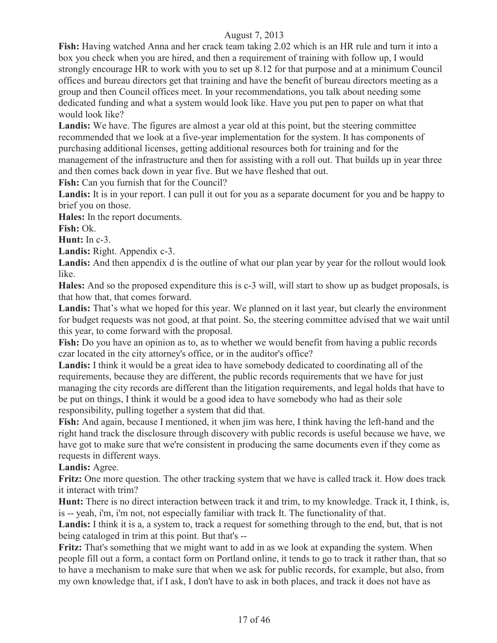**Fish:** Having watched Anna and her crack team taking 2.02 which is an HR rule and turn it into a box you check when you are hired, and then a requirement of training with follow up, I would strongly encourage HR to work with you to set up 8.12 for that purpose and at a minimum Council offices and bureau directors get that training and have the benefit of bureau directors meeting as a group and then Council offices meet. In your recommendations, you talk about needing some dedicated funding and what a system would look like. Have you put pen to paper on what that would look like?

Landis: We have. The figures are almost a year old at this point, but the steering committee recommended that we look at a five-year implementation for the system. It has components of purchasing additional licenses, getting additional resources both for training and for the management of the infrastructure and then for assisting with a roll out. That builds up in year three and then comes back down in year five. But we have fleshed that out.

**Fish:** Can you furnish that for the Council?

Landis: It is in your report. I can pull it out for you as a separate document for you and be happy to brief you on those.

**Hales:** In the report documents.

**Fish:** Ok.

**Hunt:** In c-3.

Landis: Right. Appendix c-3.

Landis: And then appendix d is the outline of what our plan year by year for the rollout would look like.

**Hales:** And so the proposed expenditure this is c-3 will, will start to show up as budget proposals, is that how that, that comes forward.

Landis: That's what we hoped for this year. We planned on it last year, but clearly the environment for budget requests was not good, at that point. So, the steering committee advised that we wait until this year, to come forward with the proposal.

**Fish:** Do you have an opinion as to, as to whether we would benefit from having a public records czar located in the city attorney's office, or in the auditor's office?

**Landis:** I think it would be a great idea to have somebody dedicated to coordinating all of the requirements, because they are different, the public records requirements that we have for just managing the city records are different than the litigation requirements, and legal holds that have to be put on things, I think it would be a good idea to have somebody who had as their sole responsibility, pulling together a system that did that.

**Fish:** And again, because I mentioned, it when jim was here, I think having the left-hand and the right hand track the disclosure through discovery with public records is useful because we have, we have got to make sure that we're consistent in producing the same documents even if they come as requests in different ways.

## Landis: Agree.

**Fritz:** One more question. The other tracking system that we have is called track it. How does track it interact with trim?

**Hunt:** There is no direct interaction between track it and trim, to my knowledge. Track it, I think, is, is -- yeah, i'm, i'm not, not especially familiar with track It. The functionality of that.

Landis: I think it is a, a system to, track a request for something through to the end, but, that is not being cataloged in trim at this point. But that's --

**Fritz:** That's something that we might want to add in as we look at expanding the system. When people fill out a form, a contact form on Portland online, it tends to go to track it rather than, that so to have a mechanism to make sure that when we ask for public records, for example, but also, from my own knowledge that, if I ask, I don't have to ask in both places, and track it does not have as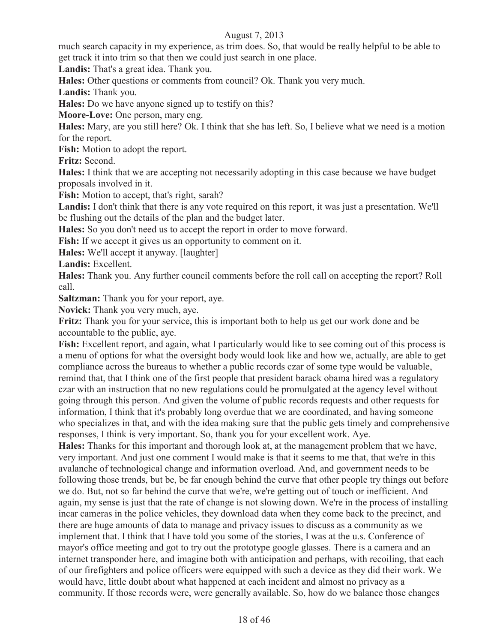much search capacity in my experience, as trim does. So, that would be really helpful to be able to get track it into trim so that then we could just search in one place.

**Landis:** That's a great idea. Thank you.

**Hales:** Other questions or comments from council? Ok. Thank you very much.

**Landis:** Thank you.

**Hales:** Do we have anyone signed up to testify on this?

**Moore-Love:** One person, mary eng.

**Hales:** Mary, are you still here? Ok. I think that she has left. So, I believe what we need is a motion for the report.

**Fish:** Motion to adopt the report.

**Fritz:** Second.

**Hales:** I think that we are accepting not necessarily adopting in this case because we have budget proposals involved in it.

**Fish:** Motion to accept, that's right, sarah?

**Landis:** I don't think that there is any vote required on this report, it was just a presentation. We'll be flushing out the details of the plan and the budget later.

**Hales:** So you don't need us to accept the report in order to move forward.

**Fish:** If we accept it gives us an opportunity to comment on it.

**Hales:** We'll accept it anyway. [laughter]

**Landis:** Excellent.

**Hales:** Thank you. Any further council comments before the roll call on accepting the report? Roll call.

**Saltzman:** Thank you for your report, aye.

**Novick:** Thank you very much, aye.

**Fritz:** Thank you for your service, this is important both to help us get our work done and be accountable to the public, aye.

**Fish:** Excellent report, and again, what I particularly would like to see coming out of this process is a menu of options for what the oversight body would look like and how we, actually, are able to get compliance across the bureaus to whether a public records czar of some type would be valuable, remind that, that I think one of the first people that president barack obama hired was a regulatory czar with an instruction that no new regulations could be promulgated at the agency level without going through this person. And given the volume of public records requests and other requests for information, I think that it's probably long overdue that we are coordinated, and having someone who specializes in that, and with the idea making sure that the public gets timely and comprehensive responses, I think is very important. So, thank you for your excellent work. Aye.

**Hales:** Thanks for this important and thorough look at, at the management problem that we have, very important. And just one comment I would make is that it seems to me that, that we're in this avalanche of technological change and information overload. And, and government needs to be following those trends, but be, be far enough behind the curve that other people try things out before we do. But, not so far behind the curve that we're, we're getting out of touch or inefficient. And again, my sense is just that the rate of change is not slowing down. We're in the process of installing incar cameras in the police vehicles, they download data when they come back to the precinct, and there are huge amounts of data to manage and privacy issues to discuss as a community as we implement that. I think that I have told you some of the stories, I was at the u.s. Conference of mayor's office meeting and got to try out the prototype google glasses. There is a camera and an internet transponder here, and imagine both with anticipation and perhaps, with recoiling, that each of our firefighters and police officers were equipped with such a device as they did their work. We would have, little doubt about what happened at each incident and almost no privacy as a community. If those records were, were generally available. So, how do we balance those changes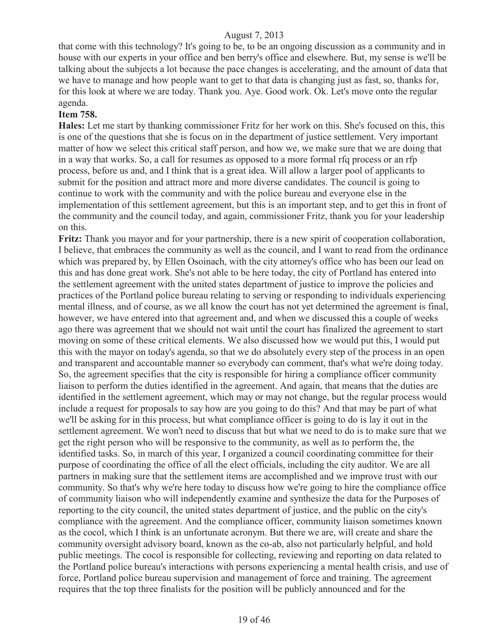that come with this technology? It's going to be, to be an ongoing discussion as a community and in house with our experts in your office and ben berry's office and elsewhere. But, my sense is we'll be talking about the subjects a lot because the pace changes is accelerating, and the amount of data that we have to manage and how people want to get to that data is changing just as fast, so, thanks for, for this look at where we are today. Thank you. Aye. Good work. Ok. Let's move onto the regular agenda.

#### **Item 758.**

**Hales:** Let me start by thanking commissioner Fritz for her work on this. She's focused on this, this is one of the questions that she is focus on in the department of justice settlement. Very important matter of how we select this critical staff person, and how we, we make sure that we are doing that in a way that works. So, a call for resumes as opposed to a more formal rfq process or an rfp process, before us and, and I think that is a great idea. Will allow a larger pool of applicants to submit for the position and attract more and more diverse candidates. The council is going to continue to work with the community and with the police bureau and everyone else in the implementation of this settlement agreement, but this is an important step, and to get this in front of the community and the council today, and again, commissioner Fritz, thank you for your leadership on this.

**Fritz:** Thank you mayor and for your partnership, there is a new spirit of cooperation collaboration, I believe, that embraces the community as well as the council, and I want to read from the ordinance which was prepared by, by Ellen Osoinach, with the city attorney's office who has been our lead on this and has done great work. She's not able to be here today, the city of Portland has entered into the settlement agreement with the united states department of justice to improve the policies and practices of the Portland police bureau relating to serving or responding to individuals experiencing mental illness, and of course, as we all know the court has not yet determined the agreement is final, however, we have entered into that agreement and, and when we discussed this a couple of weeks ago there was agreement that we should not wait until the court has finalized the agreement to start moving on some of these critical elements. We also discussed how we would put this, I would put this with the mayor on today's agenda, so that we do absolutely every step of the process in an open and transparent and accountable manner so everybody can comment, that's what we're doing today. So, the agreement specifies that the city is responsible for hiring a compliance officer community liaison to perform the duties identified in the agreement. And again, that means that the duties are identified in the settlement agreement, which may or may not change, but the regular process would include a request for proposals to say how are you going to do this? And that may be part of what we'll be asking for in this process, but what compliance officer is going to do is lay it out in the settlement agreement. We won't need to discuss that but what we need to do is to make sure that we get the right person who will be responsive to the community, as well as to perform the, the identified tasks. So, in march of this year, I organized a council coordinating committee for their purpose of coordinating the office of all the elect officials, including the city auditor. We are all partners in making sure that the settlement items are accomplished and we improve trust with our community. So that's why we're here today to discuss how we're going to hire the compliance office of community liaison who will independently examine and synthesize the data for the Purposes of reporting to the city council, the united states department of justice, and the public on the city's compliance with the agreement. And the compliance officer, community liaison sometimes known as the cocol, which I think is an unfortunate acronym. But there we are, will create and share the community oversight advisory board, known as the co-ab, also not particularly helpful, and hold public meetings. The cocol is responsible for collecting, reviewing and reporting on data related to the Portland police bureau's interactions with persons experiencing a mental health crisis, and use of force, Portland police bureau supervision and management of force and training. The agreement requires that the top three finalists for the position will be publicly announced and for the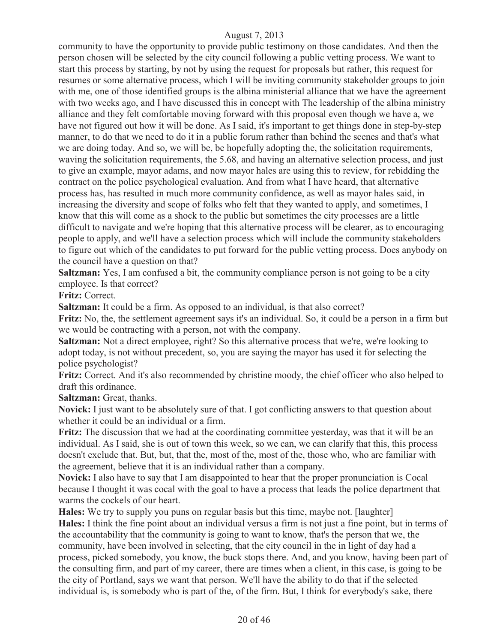community to have the opportunity to provide public testimony on those candidates. And then the person chosen will be selected by the city council following a public vetting process. We want to start this process by starting, by not by using the request for proposals but rather, this request for resumes or some alternative process, which I will be inviting community stakeholder groups to join with me, one of those identified groups is the albina ministerial alliance that we have the agreement with two weeks ago, and I have discussed this in concept with The leadership of the albina ministry alliance and they felt comfortable moving forward with this proposal even though we have a, we have not figured out how it will be done. As I said, it's important to get things done in step-by-step manner, to do that we need to do it in a public forum rather than behind the scenes and that's what we are doing today. And so, we will be, be hopefully adopting the, the solicitation requirements, waving the solicitation requirements, the 5.68, and having an alternative selection process, and just to give an example, mayor adams, and now mayor hales are using this to review, for rebidding the contract on the police psychological evaluation. And from what I have heard, that alternative process has, has resulted in much more community confidence, as well as mayor hales said, in increasing the diversity and scope of folks who felt that they wanted to apply, and sometimes, I know that this will come as a shock to the public but sometimes the city processes are a little difficult to navigate and we're hoping that this alternative process will be clearer, as to encouraging people to apply, and we'll have a selection process which will include the community stakeholders to figure out which of the candidates to put forward for the public vetting process. Does anybody on the council have a question on that?

**Saltzman:** Yes, I am confused a bit, the community compliance person is not going to be a city employee. Is that correct?

**Fritz:** Correct.

**Saltzman:** It could be a firm. As opposed to an individual, is that also correct?

**Fritz:** No, the, the settlement agreement says it's an individual. So, it could be a person in a firm but we would be contracting with a person, not with the company.

**Saltzman:** Not a direct employee, right? So this alternative process that we're, we're looking to adopt today, is not without precedent, so, you are saying the mayor has used it for selecting the police psychologist?

**Fritz:** Correct. And it's also recommended by christine moody, the chief officer who also helped to draft this ordinance.

**Saltzman:** Great, thanks.

**Novick:** I just want to be absolutely sure of that. I got conflicting answers to that question about whether it could be an individual or a firm.

**Fritz:** The discussion that we had at the coordinating committee yesterday, was that it will be an individual. As I said, she is out of town this week, so we can, we can clarify that this, this process doesn't exclude that. But, but, that the, most of the, most of the, those who, who are familiar with the agreement, believe that it is an individual rather than a company.

**Novick:** I also have to say that I am disappointed to hear that the proper pronunciation is Cocal because I thought it was cocal with the goal to have a process that leads the police department that warms the cockels of our heart.

**Hales:** We try to supply you puns on regular basis but this time, maybe not. [laughter]

**Hales:** I think the fine point about an individual versus a firm is not just a fine point, but in terms of the accountability that the community is going to want to know, that's the person that we, the community, have been involved in selecting, that the city council in the in light of day had a process, picked somebody, you know, the buck stops there. And, and you know, having been part of the consulting firm, and part of my career, there are times when a client, in this case, is going to be the city of Portland, says we want that person. We'll have the ability to do that if the selected individual is, is somebody who is part of the, of the firm. But, I think for everybody's sake, there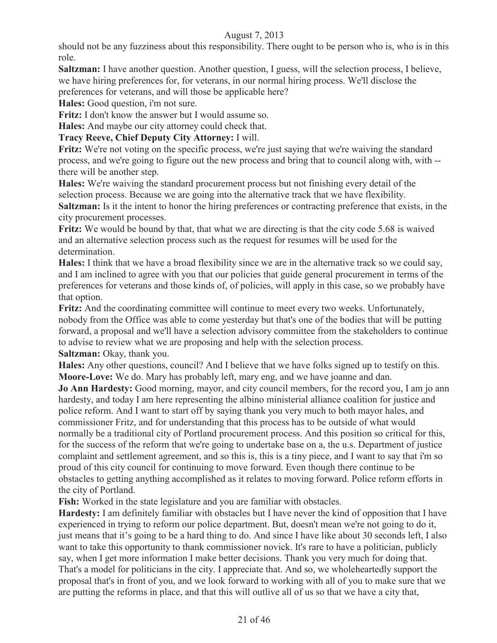should not be any fuzziness about this responsibility. There ought to be person who is, who is in this role.

**Saltzman:** I have another question. Another question, I guess, will the selection process, I believe, we have hiring preferences for, for veterans, in our normal hiring process. We'll disclose the preferences for veterans, and will those be applicable here?

**Hales:** Good question, i'm not sure.

**Fritz:** I don't know the answer but I would assume so.

**Hales:** And maybe our city attorney could check that.

## **Tracy Reeve, Chief Deputy City Attorney:** I will.

**Fritz:** We're not voting on the specific process, we're just saying that we're waiving the standard process, and we're going to figure out the new process and bring that to council along with, with - there will be another step.

**Hales:** We're waiving the standard procurement process but not finishing every detail of the selection process. Because we are going into the alternative track that we have flexibility.

**Saltzman:** Is it the intent to honor the hiring preferences or contracting preference that exists, in the city procurement processes.

**Fritz:** We would be bound by that, that what we are directing is that the city code 5.68 is waived and an alternative selection process such as the request for resumes will be used for the determination.

**Hales:** I think that we have a broad flexibility since we are in the alternative track so we could say, and I am inclined to agree with you that our policies that guide general procurement in terms of the preferences for veterans and those kinds of, of policies, will apply in this case, so we probably have that option.

Fritz: And the coordinating committee will continue to meet every two weeks. Unfortunately, nobody from the Office was able to come yesterday but that's one of the bodies that will be putting forward, a proposal and we'll have a selection advisory committee from the stakeholders to continue to advise to review what we are proposing and help with the selection process. **Saltzman:** Okay, thank you.

**Hales:** Any other questions, council? And I believe that we have folks signed up to testify on this. **Moore-Love:** We do. Mary has probably left, mary eng, and we have joanne and dan.

**Jo Ann Hardesty:** Good morning, mayor, and city council members, for the record you, I am jo ann hardesty, and today I am here representing the albino ministerial alliance coalition for justice and police reform. And I want to start off by saying thank you very much to both mayor hales, and commissioner Fritz, and for understanding that this process has to be outside of what would normally be a traditional city of Portland procurement process. And this position so critical for this, for the success of the reform that we're going to undertake base on a, the u.s. Department of justice complaint and settlement agreement, and so this is, this is a tiny piece, and I want to say that i'm so proud of this city council for continuing to move forward. Even though there continue to be obstacles to getting anything accomplished as it relates to moving forward. Police reform efforts in the city of Portland.

**Fish:** Worked in the state legislature and you are familiar with obstacles.

**Hardesty:** I am definitely familiar with obstacles but I have never the kind of opposition that I have experienced in trying to reform our police department. But, doesn't mean we're not going to do it, just means that it's going to be a hard thing to do. And since I have like about 30 seconds left, I also want to take this opportunity to thank commissioner novick. It's rare to have a politician, publicly say, when I get more information I make better decisions. Thank you very much for doing that. That's a model for politicians in the city. I appreciate that. And so, we wholeheartedly support the proposal that's in front of you, and we look forward to working with all of you to make sure that we are putting the reforms in place, and that this will outlive all of us so that we have a city that,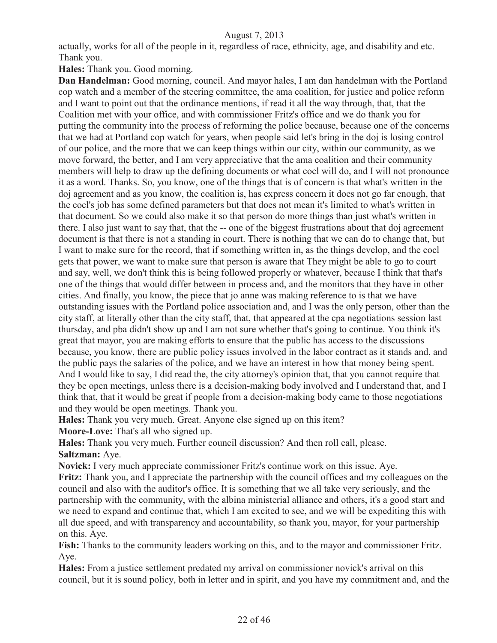actually, works for all of the people in it, regardless of race, ethnicity, age, and disability and etc. Thank you.

**Hales:** Thank you. Good morning.

**Dan Handelman:** Good morning, council. And mayor hales, I am dan handelman with the Portland cop watch and a member of the steering committee, the ama coalition, for justice and police reform and I want to point out that the ordinance mentions, if read it all the way through, that, that the Coalition met with your office, and with commissioner Fritz's office and we do thank you for putting the community into the process of reforming the police because, because one of the concerns that we had at Portland cop watch for years, when people said let's bring in the doj is losing control of our police, and the more that we can keep things within our city, within our community, as we move forward, the better, and I am very appreciative that the ama coalition and their community members will help to draw up the defining documents or what cocl will do, and I will not pronounce it as a word. Thanks. So, you know, one of the things that is of concern is that what's written in the doj agreement and as you know, the coalition is, has express concern it does not go far enough, that the cocl's job has some defined parameters but that does not mean it's limited to what's written in that document. So we could also make it so that person do more things than just what's written in there. I also just want to say that, that the -- one of the biggest frustrations about that doj agreement document is that there is not a standing in court. There is nothing that we can do to change that, but I want to make sure for the record, that if something written in, as the things develop, and the cocl gets that power, we want to make sure that person is aware that They might be able to go to court and say, well, we don't think this is being followed properly or whatever, because I think that that's one of the things that would differ between in process and, and the monitors that they have in other cities. And finally, you know, the piece that jo anne was making reference to is that we have outstanding issues with the Portland police association and, and I was the only person, other than the city staff, at literally other than the city staff, that, that appeared at the cpa negotiations session last thursday, and pba didn't show up and I am not sure whether that's going to continue. You think it's great that mayor, you are making efforts to ensure that the public has access to the discussions because, you know, there are public policy issues involved in the labor contract as it stands and, and the public pays the salaries of the police, and we have an interest in how that money being spent. And I would like to say, I did read the, the city attorney's opinion that, that you cannot require that they be open meetings, unless there is a decision-making body involved and I understand that, and I think that, that it would be great if people from a decision-making body came to those negotiations and they would be open meetings. Thank you.

**Hales:** Thank you very much. Great. Anyone else signed up on this item?

**Moore-Love:** That's all who signed up.

**Hales:** Thank you very much. Further council discussion? And then roll call, please. **Saltzman:** Aye.

**Novick:** I very much appreciate commissioner Fritz's continue work on this issue. Aye.

**Fritz:** Thank you, and I appreciate the partnership with the council offices and my colleagues on the council and also with the auditor's office. It is something that we all take very seriously, and the partnership with the community, with the albina ministerial alliance and others, it's a good start and we need to expand and continue that, which I am excited to see, and we will be expediting this with all due speed, and with transparency and accountability, so thank you, mayor, for your partnership on this. Aye.

**Fish:** Thanks to the community leaders working on this, and to the mayor and commissioner Fritz. Aye.

**Hales:** From a justice settlement predated my arrival on commissioner novick's arrival on this council, but it is sound policy, both in letter and in spirit, and you have my commitment and, and the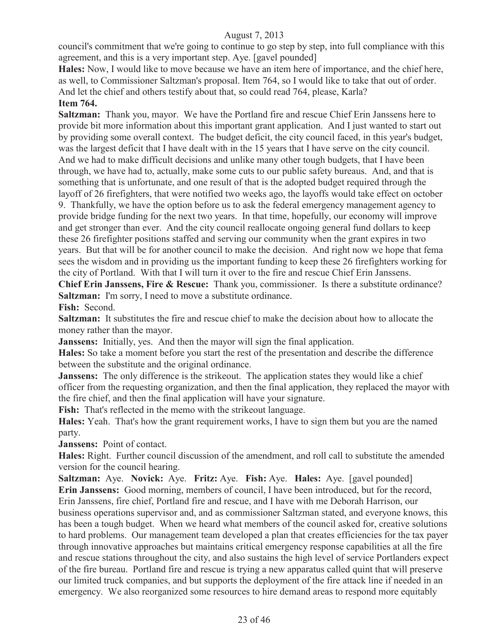council's commitment that we're going to continue to go step by step, into full compliance with this agreement, and this is a very important step. Aye. [gavel pounded]

**Hales:** Now, I would like to move because we have an item here of importance, and the chief here, as well, to Commissioner Saltzman's proposal. Item 764, so I would like to take that out of order. And let the chief and others testify about that, so could read 764, please, Karla?

## **Item 764.**

**Saltzman:** Thank you, mayor. We have the Portland fire and rescue Chief Erin Janssens here to provide bit more information about this important grant application. And I just wanted to start out by providing some overall context. The budget deficit, the city council faced, in this year's budget, was the largest deficit that I have dealt with in the 15 years that I have serve on the city council. And we had to make difficult decisions and unlike many other tough budgets, that I have been through, we have had to, actually, make some cuts to our public safety bureaus. And, and that is something that is unfortunate, and one result of that is the adopted budget required through the layoff of 26 firefighters, that were notified two weeks ago, the layoffs would take effect on october 9. Thankfully, we have the option before us to ask the federal emergency management agency to provide bridge funding for the next two years. In that time, hopefully, our economy will improve and get stronger than ever. And the city council reallocate ongoing general fund dollars to keep these 26 firefighter positions staffed and serving our community when the grant expires in two years. But that will be for another council to make the decision. And right now we hope that fema sees the wisdom and in providing us the important funding to keep these 26 firefighters working for the city of Portland. With that I will turn it over to the fire and rescue Chief Erin Janssens.

**Chief Erin Janssens, Fire & Rescue:** Thank you, commissioner. Is there a substitute ordinance? **Saltzman:** I'm sorry, I need to move a substitute ordinance.

**Fish:** Second.

**Saltzman:** It substitutes the fire and rescue chief to make the decision about how to allocate the money rather than the mayor.

**Janssens:** Initially, yes. And then the mayor will sign the final application.

**Hales:** So take a moment before you start the rest of the presentation and describe the difference between the substitute and the original ordinance.

**Janssens:** The only difference is the strike out. The application states they would like a chief officer from the requesting organization, and then the final application, they replaced the mayor with the fire chief, and then the final application will have your signature.

**Fish:** That's reflected in the memo with the strikeout language.

**Hales:** Yeah. That's how the grant requirement works, I have to sign them but you are the named party.

**Janssens:** Point of contact.

**Hales:** Right. Further council discussion of the amendment, and roll call to substitute the amended version for the council hearing.

**Saltzman:** Aye. **Novick:** Aye. **Fritz:** Aye. **Fish:** Aye. **Hales:** Aye. [gavel pounded] **Erin Janssens:** Good morning, members of council, I have been introduced, but for the record, Erin Janssens, fire chief, Portland fire and rescue, and I have with me Deborah Harrison, our business operations supervisor and, and as commissioner Saltzman stated, and everyone knows, this has been a tough budget. When we heard what members of the council asked for, creative solutions to hard problems. Our management team developed a plan that creates efficiencies for the tax payer through innovative approaches but maintains critical emergency response capabilities at all the fire and rescue stations throughout the city, and also sustains the high level of service Portlanders expect of the fire bureau. Portland fire and rescue is trying a new apparatus called quint that will preserve our limited truck companies, and but supports the deployment of the fire attack line if needed in an emergency. We also reorganized some resources to hire demand areas to respond more equitably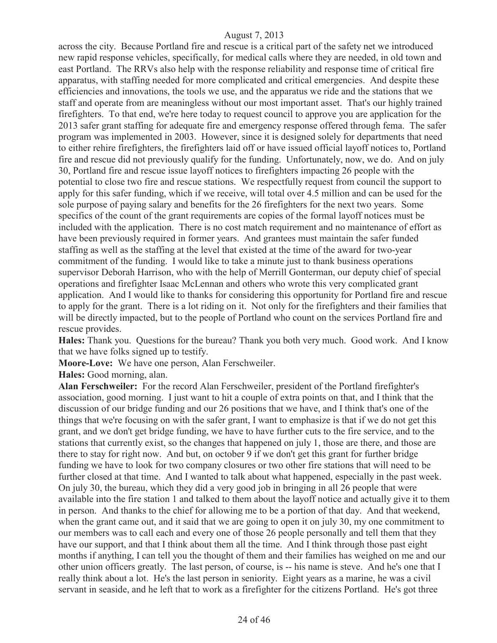across the city. Because Portland fire and rescue is a critical part of the safety net we introduced new rapid response vehicles, specifically, for medical calls where they are needed, in old town and east Portland. The RRVs also help with the response reliability and response time of critical fire apparatus, with staffing needed for more complicated and critical emergencies. And despite these efficiencies and innovations, the tools we use, and the apparatus we ride and the stations that we staff and operate from are meaningless without our most important asset. That's our highly trained firefighters. To that end, we're here today to request council to approve you are application for the 2013 safer grant staffing for adequate fire and emergency response offered through fema. The safer program was implemented in 2003. However, since it is designed solely for departments that need to either rehire firefighters, the firefighters laid off or have issued official layoff notices to, Portland fire and rescue did not previously qualify for the funding. Unfortunately, now, we do. And on july 30, Portland fire and rescue issue layoff notices to firefighters impacting 26 people with the potential to close two fire and rescue stations. We respectfully request from council the support to apply for this safer funding, which if we receive, will total over 4.5 million and can be used for the sole purpose of paying salary and benefits for the 26 firefighters for the next two years. Some specifics of the count of the grant requirements are copies of the formal layoff notices must be included with the application. There is no cost match requirement and no maintenance of effort as have been previously required in former years. And grantees must maintain the safer funded staffing as well as the staffing at the level that existed at the time of the award for two-year commitment of the funding. I would like to take a minute just to thank business operations supervisor Deborah Harrison, who with the help of Merrill Gonterman, our deputy chief of special operations and firefighter Isaac McLennan and others who wrote this very complicated grant application. And I would like to thanks for considering this opportunity for Portland fire and rescue to apply for the grant. There is a lot riding on it. Not only for the firefighters and their families that will be directly impacted, but to the people of Portland who count on the services Portland fire and rescue provides.

**Hales:** Thank you. Questions for the bureau? Thank you both very much. Good work. And I know that we have folks signed up to testify.

**Moore-Love:** We have one person, Alan Ferschweiler.

**Hales:** Good morning, alan.

**Alan Ferschweiler:** For the record Alan Ferschweiler, president of the Portland firefighter's association, good morning. I just want to hit a couple of extra points on that, and I think that the discussion of our bridge funding and our 26 positions that we have, and I think that's one of the things that we're focusing on with the safer grant, I want to emphasize is that if we do not get this grant, and we don't get bridge funding, we have to have further cuts to the fire service, and to the stations that currently exist, so the changes that happened on july 1, those are there, and those are there to stay for right now. And but, on october 9 if we don't get this grant for further bridge funding we have to look for two company closures or two other fire stations that will need to be further closed at that time. And I wanted to talk about what happened, especially in the past week. On july 30, the bureau, which they did a very good job in bringing in all 26 people that were available into the fire station 1 and talked to them about the layoff notice and actually give it to them in person. And thanks to the chief for allowing me to be a portion of that day. And that weekend, when the grant came out, and it said that we are going to open it on july 30, my one commitment to our members was to call each and every one of those 26 people personally and tell them that they have our support, and that I think about them all the time. And I think through those past eight months if anything, I can tell you the thought of them and their families has weighed on me and our other union officers greatly. The last person, of course, is -- his name is steve. And he's one that I really think about a lot. He's the last person in seniority. Eight years as a marine, he was a civil servant in seaside, and he left that to work as a firefighter for the citizens Portland. He's got three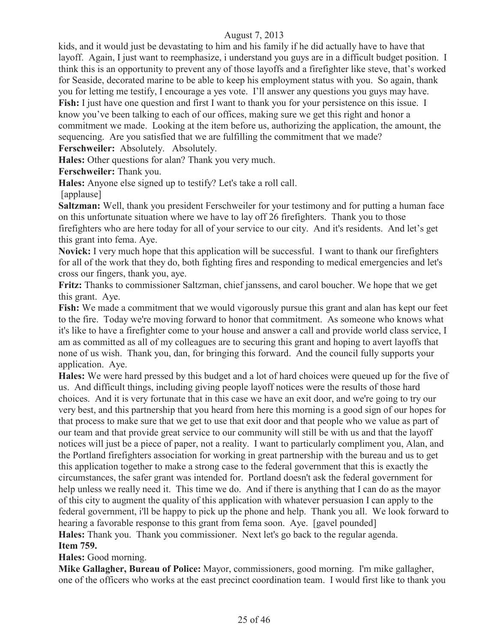kids, and it would just be devastating to him and his family if he did actually have to have that layoff. Again, I just want to reemphasize, i understand you guys are in a difficult budget position. I think this is an opportunity to prevent any of those layoffs and a firefighter like steve, that's worked for Seaside, decorated marine to be able to keep his employment status with you. So again, thank you for letting me testify, I encourage a yes vote. I'll answer any questions you guys may have. **Fish:** I just have one question and first I want to thank you for your persistence on this issue. I know you've been talking to each of our offices, making sure we get this right and honor a commitment we made. Looking at the item before us, authorizing the application, the amount, the sequencing. Are you satisfied that we are fulfilling the commitment that we made? **Ferschweiler:** Absolutely. Absolutely.

**Hales:** Other questions for alan? Thank you very much.

**Ferschweiler:** Thank you.

**Hales:** Anyone else signed up to testify? Let's take a roll call.

[applause]

**Saltzman:** Well, thank you president Ferschweiler for your testimony and for putting a human face on this unfortunate situation where we have to lay off 26 firefighters. Thank you to those firefighters who are here today for all of your service to our city. And it's residents. And let's get this grant into fema. Aye.

**Novick:** I very much hope that this application will be successful. I want to thank our firefighters for all of the work that they do, both fighting fires and responding to medical emergencies and let's cross our fingers, thank you, aye.

**Fritz:** Thanks to commissioner Saltzman, chief janssens, and carol boucher. We hope that we get this grant. Aye.

**Fish:** We made a commitment that we would vigorously pursue this grant and alan has kept our feet to the fire. Today we're moving forward to honor that commitment. As someone who knows what it's like to have a firefighter come to your house and answer a call and provide world class service, I am as committed as all of my colleagues are to securing this grant and hoping to avert layoffs that none of us wish. Thank you, dan, for bringing this forward. And the council fully supports your application. Aye.

**Hales:** We were hard pressed by this budget and a lot of hard choices were queued up for the five of us. And difficult things, including giving people layoff notices were the results of those hard choices. And it is very fortunate that in this case we have an exit door, and we're going to try our very best, and this partnership that you heard from here this morning is a good sign of our hopes for that process to make sure that we get to use that exit door and that people who we value as part of our team and that provide great service to our community will still be with us and that the layoff notices will just be a piece of paper, not a reality. I want to particularly compliment you, Alan, and the Portland firefighters association for working in great partnership with the bureau and us to get this application together to make a strong case to the federal government that this is exactly the circumstances, the safer grant was intended for. Portland doesn't ask the federal government for help unless we really need it. This time we do. And if there is anything that I can do as the mayor of this city to augment the quality of this application with whatever persuasion I can apply to the federal government, i'll be happy to pick up the phone and help. Thank you all. We look forward to hearing a favorable response to this grant from fema soon. Aye. [gavel pounded] **Hales:** Thank you. Thank you commissioner. Next let's go back to the regular agenda.

#### **Item 759.**

**Hales:** Good morning.

**Mike Gallagher, Bureau of Police:** Mayor, commissioners, good morning. I'm mike gallagher, one of the officers who works at the east precinct coordination team. I would first like to thank you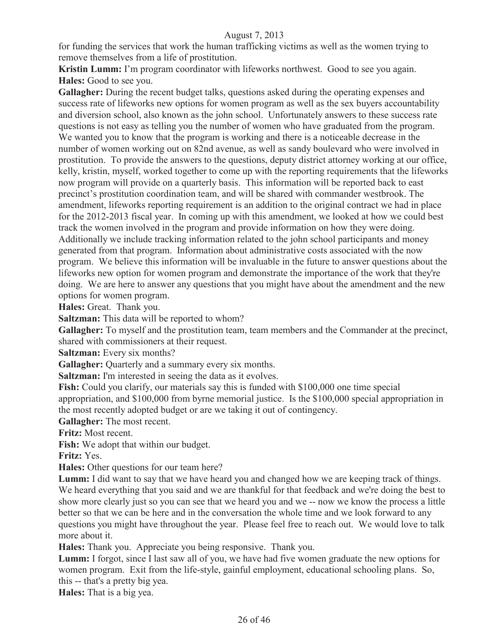for funding the services that work the human trafficking victims as well as the women trying to remove themselves from a life of prostitution.

**Kristin Lumm:** I'm program coordinator with lifeworks northwest. Good to see you again. **Hales:** Good to see you.

**Gallagher:** During the recent budget talks, questions asked during the operating expenses and success rate of lifeworks new options for women program as well as the sex buyers accountability and diversion school, also known as the john school. Unfortunately answers to these success rate questions is not easy as telling you the number of women who have graduated from the program. We wanted you to know that the program is working and there is a noticeable decrease in the number of women working out on 82nd avenue, as well as sandy boulevard who were involved in prostitution. To provide the answers to the questions, deputy district attorney working at our office, kelly, kristin, myself, worked together to come up with the reporting requirements that the lifeworks now program will provide on a quarterly basis. This information will be reported back to east precinct's prostitution coordination team, and will be shared with commander westbrook. The amendment, lifeworks reporting requirement is an addition to the original contract we had in place for the 2012-2013 fiscal year. In coming up with this amendment, we looked at how we could best track the women involved in the program and provide information on how they were doing. Additionally we include tracking information related to the john school participants and money generated from that program. Information about administrative costs associated with the now program. We believe this information will be invaluable in the future to answer questions about the lifeworks new option for women program and demonstrate the importance of the work that they're doing. We are here to answer any questions that you might have about the amendment and the new options for women program.

**Hales:** Great. Thank you.

**Saltzman:** This data will be reported to whom?

**Gallagher:** To myself and the prostitution team, team members and the Commander at the precinct, shared with commissioners at their request.

**Saltzman:** Every six months?

Gallagher: Quarterly and a summary every six months.

**Saltzman:** I'm interested in seeing the data as it evolves.

**Fish:** Could you clarify, our materials say this is funded with \$100,000 one time special appropriation, and \$100,000 from byrne memorial justice. Is the \$100,000 special appropriation in the most recently adopted budget or are we taking it out of contingency.

**Gallagher:** The most recent.

**Fritz:** Most recent.

**Fish:** We adopt that within our budget.

**Fritz:** Yes.

**Hales:** Other questions for our team here?

**Lumm:** I did want to say that we have heard you and changed how we are keeping track of things. We heard everything that you said and we are thankful for that feedback and we're doing the best to show more clearly just so you can see that we heard you and we -- now we know the process a little better so that we can be here and in the conversation the whole time and we look forward to any questions you might have throughout the year. Please feel free to reach out. We would love to talk more about it.

**Hales:** Thank you. Appreciate you being responsive. Thank you.

**Lumm:** I forgot, since I last saw all of you, we have had five women graduate the new options for women program. Exit from the life-style, gainful employment, educational schooling plans. So, this -- that's a pretty big yea.

**Hales:** That is a big yea.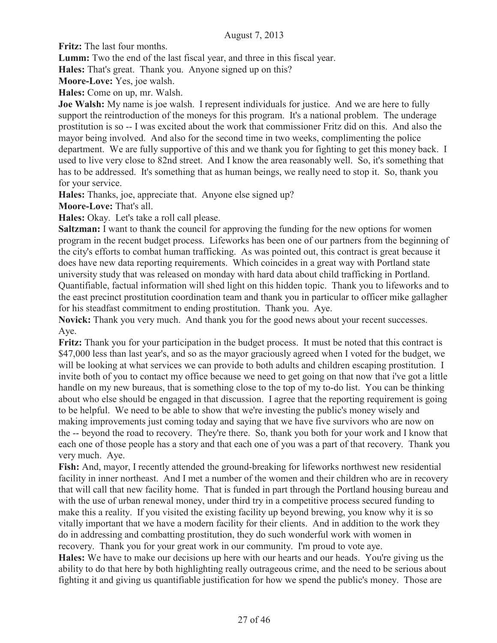**Fritz:** The last four months.

**Lumm:** Two the end of the last fiscal year, and three in this fiscal year.

**Hales:** That's great. Thank you. Anyone signed up on this?

**Moore-Love:** Yes, joe walsh.

**Hales:** Come on up, mr. Walsh.

**Joe Walsh:** My name is joe walsh. I represent individuals for justice. And we are here to fully support the reintroduction of the moneys for this program. It's a national problem. The underage prostitution is so -- I was excited about the work that commissioner Fritz did on this. And also the mayor being involved. And also for the second time in two weeks, complimenting the police department. We are fully supportive of this and we thank you for fighting to get this money back. I used to live very close to 82nd street. And I know the area reasonably well. So, it's something that has to be addressed. It's something that as human beings, we really need to stop it. So, thank you for your service.

**Hales:** Thanks, joe, appreciate that. Anyone else signed up?

**Moore-Love:** That's all.

**Hales:** Okay. Let's take a roll call please.

**Saltzman:** I want to thank the council for approving the funding for the new options for women program in the recent budget process. Lifeworks has been one of our partners from the beginning of the city's efforts to combat human trafficking. As was pointed out, this contract is great because it does have new data reporting requirements. Which coincides in a great way with Portland state university study that was released on monday with hard data about child trafficking in Portland. Quantifiable, factual information will shed light on this hidden topic. Thank you to lifeworks and to the east precinct prostitution coordination team and thank you in particular to officer mike gallagher for his steadfast commitment to ending prostitution. Thank you. Aye.

**Novick:** Thank you very much. And thank you for the good news about your recent successes. Aye.

**Fritz:** Thank you for your participation in the budget process. It must be noted that this contract is \$47,000 less than last year's, and so as the mayor graciously agreed when I voted for the budget, we will be looking at what services we can provide to both adults and children escaping prostitution. I invite both of you to contact my office because we need to get going on that now that i've got a little handle on my new bureaus, that is something close to the top of my to-do list. You can be thinking about who else should be engaged in that discussion. I agree that the reporting requirement is going to be helpful. We need to be able to show that we're investing the public's money wisely and making improvements just coming today and saying that we have five survivors who are now on the -- beyond the road to recovery. They're there. So, thank you both for your work and I know that each one of those people has a story and that each one of you was a part of that recovery. Thank you very much. Aye.

**Fish:** And, mayor, I recently attended the ground-breaking for lifeworks northwest new residential facility in inner northeast. And I met a number of the women and their children who are in recovery that will call that new facility home. That is funded in part through the Portland housing bureau and with the use of urban renewal money, under third try in a competitive process secured funding to make this a reality. If you visited the existing facility up beyond brewing, you know why it is so vitally important that we have a modern facility for their clients. And in addition to the work they do in addressing and combatting prostitution, they do such wonderful work with women in recovery. Thank you for your great work in our community. I'm proud to vote aye.

**Hales:** We have to make our decisions up here with our hearts and our heads. You're giving us the ability to do that here by both highlighting really outrageous crime, and the need to be serious about fighting it and giving us quantifiable justification for how we spend the public's money. Those are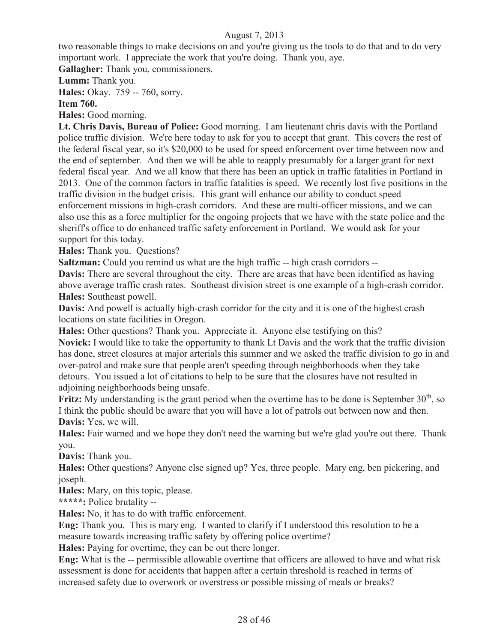two reasonable things to make decisions on and you're giving us the tools to do that and to do very important work. I appreciate the work that you're doing. Thank you, aye.

**Gallagher:** Thank you, commissioners.

**Lumm:** Thank you.

**Hales:** Okay. 759 -- 760, sorry.

**Item 760.**

**Hales:** Good morning.

**Lt. Chris Davis, Bureau of Police:** Good morning. I am lieutenant chris davis with the Portland police traffic division. We're here today to ask for you to accept that grant. This covers the rest of the federal fiscal year, so it's \$20,000 to be used for speed enforcement over time between now and the end of september. And then we will be able to reapply presumably for a larger grant for next federal fiscal year. And we all know that there has been an uptick in traffic fatalities in Portland in 2013. One of the common factors in traffic fatalities is speed. We recently lost five positions in the traffic division in the budget crisis. This grant will enhance our ability to conduct speed enforcement missions in high-crash corridors. And these are multi-officer missions, and we can also use this as a force multiplier for the ongoing projects that we have with the state police and the sheriff's office to do enhanced traffic safety enforcement in Portland. We would ask for your support for this today.

**Hales:** Thank you. Questions?

**Saltzman:** Could you remind us what are the high traffic -- high crash corridors --

**Davis:** There are several throughout the city. There are areas that have been identified as having above average traffic crash rates. Southeast division street is one example of a high-crash corridor. **Hales:** Southeast powell.

**Davis:** And powell is actually high-crash corridor for the city and it is one of the highest crash locations on state facilities in Oregon.

**Hales:** Other questions? Thank you. Appreciate it. Anyone else testifying on this? **Novick:** I would like to take the opportunity to thank Lt Davis and the work that the traffic division has done, street closures at major arterials this summer and we asked the traffic division to go in and over-patrol and make sure that people aren't speeding through neighborhoods when they take detours. You issued a lot of citations to help to be sure that the closures have not resulted in adjoining neighborhoods being unsafe.

**Fritz:** My understanding is the grant period when the overtime has to be done is September  $30<sup>th</sup>$ , so I think the public should be aware that you will have a lot of patrols out between now and then. **Davis:** Yes, we will.

**Hales:** Fair warned and we hope they don't need the warning but we're glad you're out there. Thank you.

**Davis:** Thank you.

**Hales:** Other questions? Anyone else signed up? Yes, three people. Mary eng, ben pickering, and joseph.

**Hales:** Mary, on this topic, please.

**\*\*\*\*\*:** Police brutality --

**Hales:** No, it has to do with traffic enforcement.

**Eng:** Thank you. This is mary eng. I wanted to clarify if I understood this resolution to be a measure towards increasing traffic safety by offering police overtime?

**Hales:** Paying for overtime, they can be out there longer.

**Eng:** What is the -- permissible allowable overtime that officers are allowed to have and what risk assessment is done for accidents that happen after a certain threshold is reached in terms of increased safety due to overwork or overstress or possible missing of meals or breaks?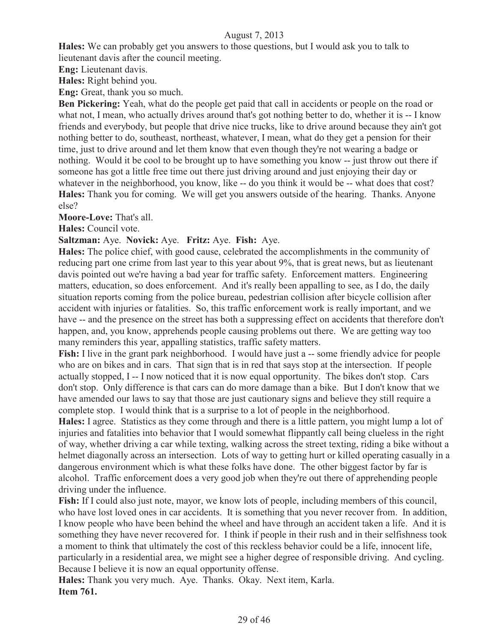**Hales:** We can probably get you answers to those questions, but I would ask you to talk to lieutenant davis after the council meeting.

**Eng:** Lieutenant davis.

**Hales:** Right behind you.

**Eng:** Great, thank you so much.

**Ben Pickering:** Yeah, what do the people get paid that call in accidents or people on the road or what not, I mean, who actually drives around that's got nothing better to do, whether it is -- I know friends and everybody, but people that drive nice trucks, like to drive around because they ain't got nothing better to do, southeast, northeast, whatever, I mean, what do they get a pension for their time, just to drive around and let them know that even though they're not wearing a badge or nothing. Would it be cool to be brought up to have something you know -- just throw out there if someone has got a little free time out there just driving around and just enjoying their day or whatever in the neighborhood, you know, like -- do you think it would be -- what does that cost? **Hales:** Thank you for coming. We will get you answers outside of the hearing. Thanks. Anyone else?

**Moore-Love:** That's all.

**Hales:** Council vote.

#### **Saltzman:** Aye. **Novick:** Aye. **Fritz:** Aye. **Fish:** Aye.

**Hales:** The police chief, with good cause, celebrated the accomplishments in the community of reducing part one crime from last year to this year about 9%, that is great news, but as lieutenant davis pointed out we're having a bad year for traffic safety. Enforcement matters. Engineering matters, education, so does enforcement. And it's really been appalling to see, as I do, the daily situation reports coming from the police bureau, pedestrian collision after bicycle collision after accident with injuries or fatalities. So, this traffic enforcement work is really important, and we have -- and the presence on the street has both a suppressing effect on accidents that therefore don't happen, and, you know, apprehends people causing problems out there. We are getting way too many reminders this year, appalling statistics, traffic safety matters.

**Fish:** I live in the grant park neighborhood. I would have just a -- some friendly advice for people who are on bikes and in cars. That sign that is in red that says stop at the intersection. If people actually stopped, I -- I now noticed that it is now equal opportunity. The bikes don't stop. Cars don't stop. Only difference is that cars can do more damage than a bike. But I don't know that we have amended our laws to say that those are just cautionary signs and believe they still require a complete stop. I would think that is a surprise to a lot of people in the neighborhood.

**Hales:** I agree. Statistics as they come through and there is a little pattern, you might lump a lot of injuries and fatalities into behavior that I would somewhat flippantly call being clueless in the right of way, whether driving a car while texting, walking across the street texting, riding a bike without a helmet diagonally across an intersection. Lots of way to getting hurt or killed operating casually in a dangerous environment which is what these folks have done. The other biggest factor by far is alcohol. Traffic enforcement does a very good job when they're out there of apprehending people driving under the influence.

Fish: If I could also just note, mayor, we know lots of people, including members of this council, who have lost loved ones in car accidents. It is something that you never recover from. In addition, I know people who have been behind the wheel and have through an accident taken a life. And it is something they have never recovered for. I think if people in their rush and in their selfishness took a moment to think that ultimately the cost of this reckless behavior could be a life, innocent life, particularly in a residential area, we might see a higher degree of responsible driving. And cycling. Because I believe it is now an equal opportunity offense.

**Hales:** Thank you very much. Aye. Thanks. Okay. Next item, Karla. **Item 761.**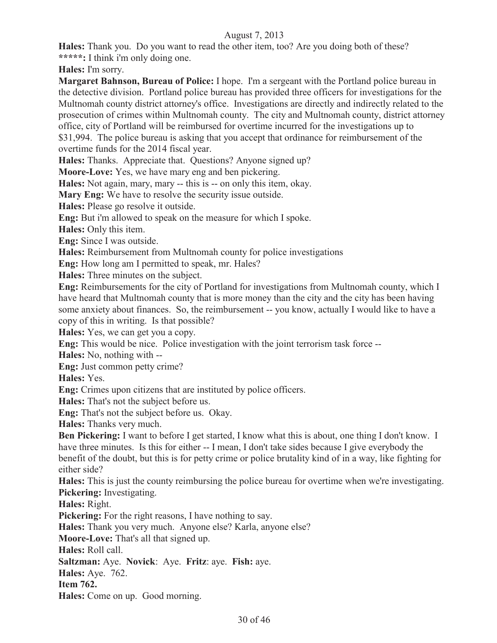**Hales:** Thank you. Do you want to read the other item, too? Are you doing both of these? **\*\*\*\*\*:** I think i'm only doing one.

**Hales:** I'm sorry.

**Margaret Bahnson, Bureau of Police:** I hope. I'm a sergeant with the Portland police bureau in the detective division. Portland police bureau has provided three officers for investigations for the Multnomah county district attorney's office. Investigations are directly and indirectly related to the prosecution of crimes within Multnomah county. The city and Multnomah county, district attorney office, city of Portland will be reimbursed for overtime incurred for the investigations up to \$31,994. The police bureau is asking that you accept that ordinance for reimbursement of the overtime funds for the 2014 fiscal year.

**Hales:** Thanks. Appreciate that. Questions? Anyone signed up?

**Moore-Love:** Yes, we have mary eng and ben pickering.

**Hales:** Not again, mary, mary -- this is -- on only this item, okay.

**Mary Eng:** We have to resolve the security issue outside.

**Hales:** Please go resolve it outside.

**Eng:** But i'm allowed to speak on the measure for which I spoke.

**Hales:** Only this item.

**Eng:** Since I was outside.

**Hales:** Reimbursement from Multnomah county for police investigations

**Eng:** How long am I permitted to speak, mr. Hales?

**Hales:** Three minutes on the subject.

**Eng:** Reimbursements for the city of Portland for investigations from Multnomah county, which I have heard that Multnomah county that is more money than the city and the city has been having some anxiety about finances. So, the reimbursement -- you know, actually I would like to have a copy of this in writing. Is that possible?

**Hales:** Yes, we can get you a copy.

**Eng:** This would be nice. Police investigation with the joint terrorism task force --

**Hales:** No, nothing with --

**Eng:** Just common petty crime?

**Hales:** Yes.

**Eng:** Crimes upon citizens that are instituted by police officers.

**Hales:** That's not the subject before us.

**Eng:** That's not the subject before us. Okay.

**Hales:** Thanks very much.

**Ben Pickering:** I want to before I get started, I know what this is about, one thing I don't know. I have three minutes. Is this for either -- I mean, I don't take sides because I give everybody the benefit of the doubt, but this is for petty crime or police brutality kind of in a way, like fighting for either side?

**Hales:** This is just the county reimbursing the police bureau for overtime when we're investigating. **Pickering:** Investigating.

**Hales:** Right.

**Pickering:** For the right reasons, I have nothing to say.

**Hales:** Thank you very much. Anyone else? Karla, anyone else?

**Moore-Love:** That's all that signed up.

**Hales:** Roll call.

**Saltzman:** Aye. **Novick**: Aye. **Fritz**: aye. **Fish:** aye.

**Hales:** Aye. 762.

**Item 762.**

**Hales:** Come on up. Good morning.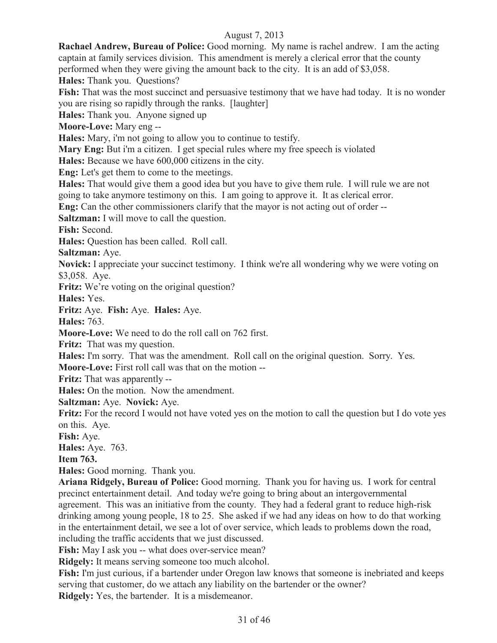**Rachael Andrew, Bureau of Police:** Good morning. My name is rachel andrew. I am the acting captain at family services division. This amendment is merely a clerical error that the county performed when they were giving the amount back to the city. It is an add of \$3,058.

**Hales:** Thank you. Questions?

**Fish:** That was the most succinct and persuasive testimony that we have had today. It is no wonder you are rising so rapidly through the ranks. [laughter]

**Hales:** Thank you. Anyone signed up

**Moore-Love:** Mary eng --

**Hales:** Mary, i'm not going to allow you to continue to testify.

**Mary Eng:** But i'm a citizen. I get special rules where my free speech is violated

**Hales:** Because we have 600,000 citizens in the city.

**Eng:** Let's get them to come to the meetings.

**Hales:** That would give them a good idea but you have to give them rule. I will rule we are not going to take anymore testimony on this. I am going to approve it. It as clerical error.

**Eng:** Can the other commissioners clarify that the mayor is not acting out of order --

**Saltzman:** I will move to call the question.

**Fish:** Second.

**Hales:** Question has been called. Roll call.

**Saltzman:** Aye.

**Novick:** I appreciate your succinct testimony. I think we're all wondering why we were voting on \$3,058. Aye.

**Fritz:** We're voting on the original question?

**Hales:** Yes.

**Fritz:** Aye. **Fish:** Aye. **Hales:** Aye.

**Hales:** 763.

**Moore-Love:** We need to do the roll call on 762 first.

**Fritz:** That was my question.

**Hales:** I'm sorry. That was the amendment. Roll call on the original question. Sorry. Yes.

**Moore-Love:** First roll call was that on the motion --

**Fritz:** That was apparently --

**Hales:** On the motion. Now the amendment.

**Saltzman:** Aye. **Novick:** Aye.

**Fritz:** For the record I would not have voted yes on the motion to call the question but I do vote yes on this. Aye.

**Fish:** Aye.

**Hales:** Aye. 763.

**Item 763.**

**Hales:** Good morning. Thank you.

**Ariana Ridgely, Bureau of Police:** Good morning. Thank you for having us. I work for central precinct entertainment detail. And today we're going to bring about an intergovernmental agreement. This was an initiative from the county. They had a federal grant to reduce high-risk drinking among young people, 18 to 25. She asked if we had any ideas on how to do that working in the entertainment detail, we see a lot of over service, which leads to problems down the road, including the traffic accidents that we just discussed.

Fish: May I ask you -- what does over-service mean?

**Ridgely:** It means serving someone too much alcohol.

**Fish:** I'm just curious, if a bartender under Oregon law knows that someone is inebriated and keeps serving that customer, do we attach any liability on the bartender or the owner? **Ridgely:** Yes, the bartender. It is a misdemeanor.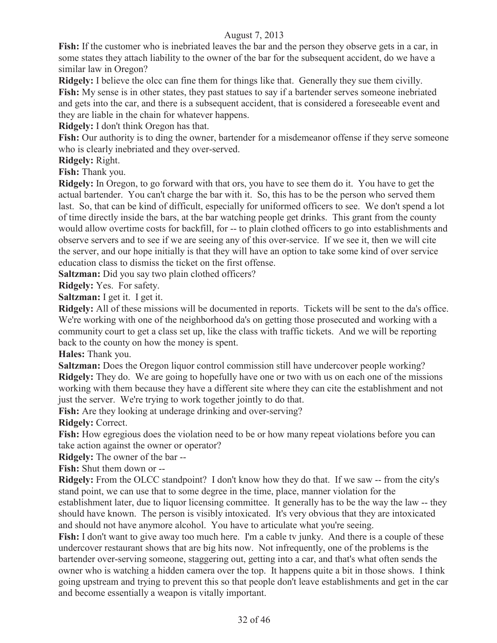**Fish:** If the customer who is inebriated leaves the bar and the person they observe gets in a car, in some states they attach liability to the owner of the bar for the subsequent accident, do we have a similar law in Oregon?

**Ridgely:** I believe the olcc can fine them for things like that. Generally they sue them civilly. **Fish:** My sense is in other states, they past statues to say if a bartender serves someone inebriated and gets into the car, and there is a subsequent accident, that is considered a foreseeable event and they are liable in the chain for whatever happens.

**Ridgely:** I don't think Oregon has that.

**Fish:** Our authority is to ding the owner, bartender for a misdemeanor offense if they serve someone who is clearly inebriated and they over-served.

**Ridgely:** Right.

**Fish:** Thank you.

**Ridgely:** In Oregon, to go forward with that ors, you have to see them do it. You have to get the actual bartender. You can't charge the bar with it. So, this has to be the person who served them last. So, that can be kind of difficult, especially for uniformed officers to see. We don't spend a lot of time directly inside the bars, at the bar watching people get drinks. This grant from the county would allow overtime costs for backfill, for -- to plain clothed officers to go into establishments and observe servers and to see if we are seeing any of this over-service. If we see it, then we will cite the server, and our hope initially is that they will have an option to take some kind of over service education class to dismiss the ticket on the first offense.

**Saltzman:** Did you say two plain clothed officers?

**Ridgely:** Yes. For safety.

**Saltzman:** I get it. I get it.

**Ridgely:** All of these missions will be documented in reports. Tickets will be sent to the da's office. We're working with one of the neighborhood da's on getting those prosecuted and working with a community court to get a class set up, like the class with traffic tickets. And we will be reporting back to the county on how the money is spent.

**Hales:** Thank you.

**Saltzman:** Does the Oregon liquor control commission still have undercover people working? **Ridgely:** They do. We are going to hopefully have one or two with us on each one of the missions working with them because they have a different site where they can cite the establishment and not just the server. We're trying to work together jointly to do that.

Fish: Are they looking at underage drinking and over-serving?

**Ridgely:** Correct.

**Fish:** How egregious does the violation need to be or how many repeat violations before you can take action against the owner or operator?

**Ridgely:** The owner of the bar --

**Fish:** Shut them down or --

**Ridgely:** From the OLCC standpoint? I don't know how they do that. If we saw -- from the city's stand point, we can use that to some degree in the time, place, manner violation for the establishment later, due to liquor licensing committee. It generally has to be the way the law -- they should have known. The person is visibly intoxicated. It's very obvious that they are intoxicated and should not have anymore alcohol. You have to articulate what you're seeing.

**Fish:** I don't want to give away too much here. I'm a cable tv junky. And there is a couple of these undercover restaurant shows that are big hits now. Not infrequently, one of the problems is the bartender over-serving someone, staggering out, getting into a car, and that's what often sends the owner who is watching a hidden camera over the top. It happens quite a bit in those shows. I think going upstream and trying to prevent this so that people don't leave establishments and get in the car and become essentially a weapon is vitally important.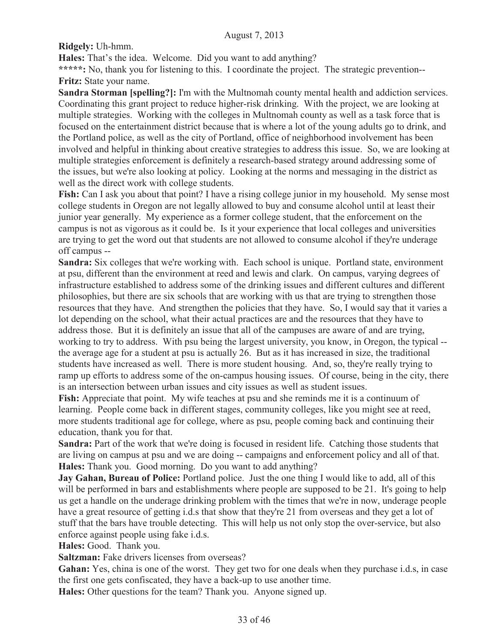**Ridgely:** Uh-hmm.

**Hales:** That's the idea. Welcome. Did you want to add anything?

**\*\*\*\*\*:** No, thank you for listening to this. I coordinate the project. The strategic prevention-- **Fritz:** State your name.

**Sandra Storman [spelling?]:** I'm with the Multnomah county mental health and addiction services. Coordinating this grant project to reduce higher-risk drinking. With the project, we are looking at multiple strategies. Working with the colleges in Multnomah county as well as a task force that is focused on the entertainment district because that is where a lot of the young adults go to drink, and the Portland police, as well as the city of Portland, office of neighborhood involvement has been involved and helpful in thinking about creative strategies to address this issue. So, we are looking at multiple strategies enforcement is definitely a research-based strategy around addressing some of the issues, but we're also looking at policy. Looking at the norms and messaging in the district as well as the direct work with college students.

**Fish:** Can I ask you about that point? I have a rising college junior in my household. My sense most college students in Oregon are not legally allowed to buy and consume alcohol until at least their junior year generally. My experience as a former college student, that the enforcement on the campus is not as vigorous as it could be. Is it your experience that local colleges and universities are trying to get the word out that students are not allowed to consume alcohol if they're underage off campus --

**Sandra:** Six colleges that we're working with. Each school is unique. Portland state, environment at psu, different than the environment at reed and lewis and clark. On campus, varying degrees of infrastructure established to address some of the drinking issues and different cultures and different philosophies, but there are six schools that are working with us that are trying to strengthen those resources that they have. And strengthen the policies that they have. So, I would say that it varies a lot depending on the school, what their actual practices are and the resources that they have to address those. But it is definitely an issue that all of the campuses are aware of and are trying, working to try to address. With psu being the largest university, you know, in Oregon, the typical - the average age for a student at psu is actually 26. But as it has increased in size, the traditional students have increased as well. There is more student housing. And, so, they're really trying to ramp up efforts to address some of the on-campus housing issues. Of course, being in the city, there is an intersection between urban issues and city issues as well as student issues.

**Fish:** Appreciate that point. My wife teaches at psu and she reminds me it is a continuum of learning. People come back in different stages, community colleges, like you might see at reed, more students traditional age for college, where as psu, people coming back and continuing their education, thank you for that.

**Sandra:** Part of the work that we're doing is focused in resident life. Catching those students that are living on campus at psu and we are doing -- campaigns and enforcement policy and all of that. **Hales:** Thank you. Good morning. Do you want to add anything?

**Jay Gahan, Bureau of Police:** Portland police. Just the one thing I would like to add, all of this will be performed in bars and establishments where people are supposed to be 21. It's going to help us get a handle on the underage drinking problem with the times that we're in now, underage people have a great resource of getting i.d.s that show that they're 21 from overseas and they get a lot of stuff that the bars have trouble detecting. This will help us not only stop the over-service, but also enforce against people using fake i.d.s.

**Hales:** Good. Thank you.

**Saltzman:** Fake drivers licenses from overseas?

**Gahan:** Yes, china is one of the worst. They get two for one deals when they purchase i.d.s, in case the first one gets confiscated, they have a back-up to use another time.

**Hales:** Other questions for the team? Thank you. Anyone signed up.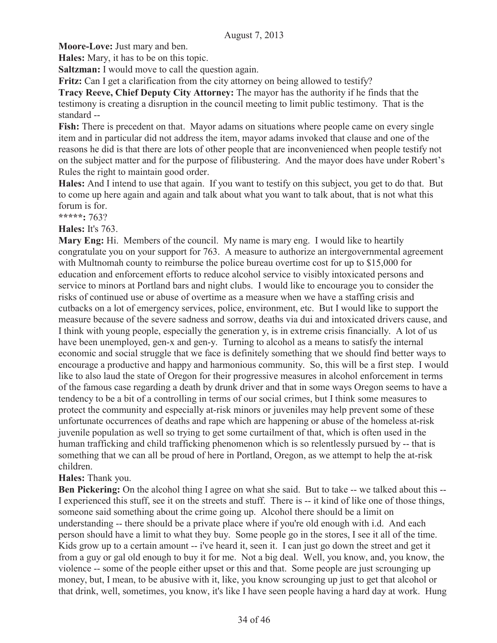**Moore-Love:** Just mary and ben.

**Hales:** Mary, it has to be on this topic.

**Saltzman:** I would move to call the question again.

**Fritz:** Can I get a clarification from the city attorney on being allowed to testify?

**Tracy Reeve, Chief Deputy City Attorney:** The mayor has the authority if he finds that the testimony is creating a disruption in the council meeting to limit public testimony. That is the standard --

**Fish:** There is precedent on that. Mayor adams on situations where people came on every single item and in particular did not address the item, mayor adams invoked that clause and one of the reasons he did is that there are lots of other people that are inconvenienced when people testify not on the subject matter and for the purpose of filibustering. And the mayor does have under Robert's Rules the right to maintain good order.

**Hales:** And I intend to use that again. If you want to testify on this subject, you get to do that. But to come up here again and again and talk about what you want to talk about, that is not what this forum is for.

**\*\*\*\*\*:** 763?

**Hales:** It's 763.

**Mary Eng:** Hi. Members of the council. My name is mary eng. I would like to heartily congratulate you on your support for 763. A measure to authorize an intergovernmental agreement with Multnomah county to reimburse the police bureau overtime cost for up to \$15,000 for education and enforcement efforts to reduce alcohol service to visibly intoxicated persons and service to minors at Portland bars and night clubs. I would like to encourage you to consider the risks of continued use or abuse of overtime as a measure when we have a staffing crisis and cutbacks on a lot of emergency services, police, environment, etc. But I would like to support the measure because of the severe sadness and sorrow, deaths via dui and intoxicated drivers cause, and I think with young people, especially the generation y, is in extreme crisis financially. A lot of us have been unemployed, gen-x and gen-y. Turning to alcohol as a means to satisfy the internal economic and social struggle that we face is definitely something that we should find better ways to encourage a productive and happy and harmonious community. So, this will be a first step. I would like to also laud the state of Oregon for their progressive measures in alcohol enforcement in terms of the famous case regarding a death by drunk driver and that in some ways Oregon seems to have a tendency to be a bit of a controlling in terms of our social crimes, but I think some measures to protect the community and especially at-risk minors or juveniles may help prevent some of these unfortunate occurrences of deaths and rape which are happening or abuse of the homeless at-risk juvenile population as well so trying to get some curtailment of that, which is often used in the human trafficking and child trafficking phenomenon which is so relentlessly pursued by -- that is something that we can all be proud of here in Portland, Oregon, as we attempt to help the at-risk children.

## **Hales:** Thank you.

**Ben Pickering:** On the alcohol thing I agree on what she said. But to take -- we talked about this --I experienced this stuff, see it on the streets and stuff. There is -- it kind of like one of those things, someone said something about the crime going up. Alcohol there should be a limit on understanding -- there should be a private place where if you're old enough with i.d. And each person should have a limit to what they buy. Some people go in the stores, I see it all of the time. Kids grow up to a certain amount -- i've heard it, seen it. I can just go down the street and get it from a guy or gal old enough to buy it for me. Not a big deal. Well, you know, and, you know, the violence -- some of the people either upset or this and that. Some people are just scrounging up money, but, I mean, to be abusive with it, like, you know scrounging up just to get that alcohol or that drink, well, sometimes, you know, it's like I have seen people having a hard day at work. Hung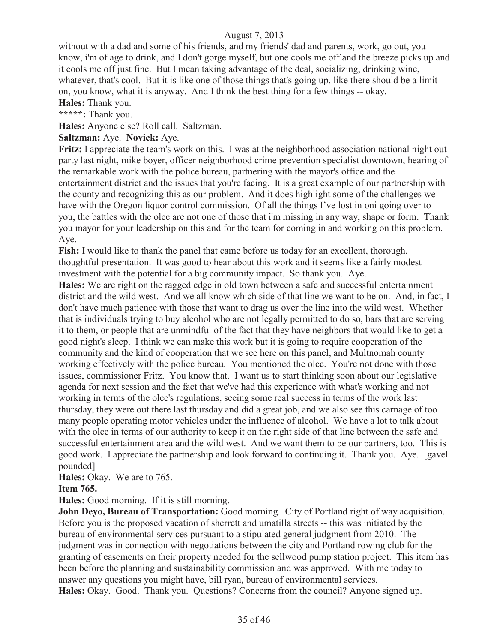without with a dad and some of his friends, and my friends' dad and parents, work, go out, you know, i'm of age to drink, and I don't gorge myself, but one cools me off and the breeze picks up and it cools me off just fine. But I mean taking advantage of the deal, socializing, drinking wine, whatever, that's cool. But it is like one of those things that's going up, like there should be a limit on, you know, what it is anyway. And I think the best thing for a few things -- okay.

**Hales:** Thank you.

**\*\*\*\*\*:** Thank you.

**Hales:** Anyone else? Roll call. Saltzman.

## **Saltzman:** Aye. **Novick:** Aye.

**Fritz:** I appreciate the team's work on this. I was at the neighborhood association national night out party last night, mike boyer, officer neighborhood crime prevention specialist downtown, hearing of the remarkable work with the police bureau, partnering with the mayor's office and the entertainment district and the issues that you're facing. It is a great example of our partnership with the county and recognizing this as our problem. And it does highlight some of the challenges we have with the Oregon liquor control commission. Of all the things I've lost in oni going over to you, the battles with the olcc are not one of those that i'm missing in any way, shape or form. Thank you mayor for your leadership on this and for the team for coming in and working on this problem. Aye.

**Fish:** I would like to thank the panel that came before us today for an excellent, thorough, thoughtful presentation. It was good to hear about this work and it seems like a fairly modest investment with the potential for a big community impact. So thank you. Aye.

**Hales:** We are right on the ragged edge in old town between a safe and successful entertainment district and the wild west. And we all know which side of that line we want to be on. And, in fact, I don't have much patience with those that want to drag us over the line into the wild west. Whether that is individuals trying to buy alcohol who are not legally permitted to do so, bars that are serving it to them, or people that are unmindful of the fact that they have neighbors that would like to get a good night's sleep. I think we can make this work but it is going to require cooperation of the community and the kind of cooperation that we see here on this panel, and Multnomah county working effectively with the police bureau. You mentioned the olcc. You're not done with those issues, commissioner Fritz. You know that. I want us to start thinking soon about our legislative agenda for next session and the fact that we've had this experience with what's working and not working in terms of the olcc's regulations, seeing some real success in terms of the work last thursday, they were out there last thursday and did a great job, and we also see this carnage of too many people operating motor vehicles under the influence of alcohol. We have a lot to talk about with the olcc in terms of our authority to keep it on the right side of that line between the safe and successful entertainment area and the wild west. And we want them to be our partners, too. This is good work. I appreciate the partnership and look forward to continuing it. Thank you. Aye. [gavel pounded]

**Hales:** Okay. We are to 765.

#### **Item 765.**

**Hales:** Good morning. If it is still morning.

**John Devo, Bureau of Transportation:** Good morning. City of Portland right of way acquisition. Before you is the proposed vacation of sherrett and umatilla streets -- this was initiated by the bureau of environmental services pursuant to a stipulated general judgment from 2010. The judgment was in connection with negotiations between the city and Portland rowing club for the granting of easements on their property needed for the sellwood pump station project. This item has been before the planning and sustainability commission and was approved. With me today to answer any questions you might have, bill ryan, bureau of environmental services. **Hales:** Okay. Good. Thank you. Questions? Concerns from the council? Anyone signed up.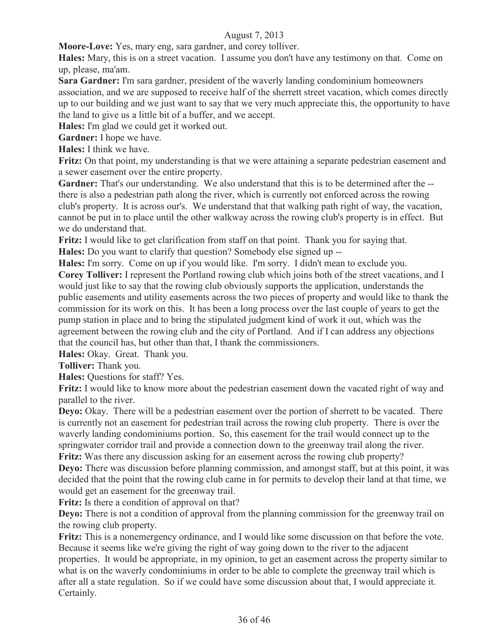**Moore-Love:** Yes, mary eng, sara gardner, and corey tolliver.

**Hales:** Mary, this is on a street vacation. I assume you don't have any testimony on that. Come on up, please, ma'am.

**Sara Gardner:** I'm sara gardner, president of the waverly landing condominium homeowners association, and we are supposed to receive half of the sherrett street vacation, which comes directly up to our building and we just want to say that we very much appreciate this, the opportunity to have the land to give us a little bit of a buffer, and we accept.

**Hales:** I'm glad we could get it worked out.

**Gardner:** I hope we have.

**Hales:** I think we have.

**Fritz:** On that point, my understanding is that we were attaining a separate pedestrian easement and a sewer easement over the entire property.

Gardner: That's our understanding. We also understand that this is to be determined after the -there is also a pedestrian path along the river, which is currently not enforced across the rowing club's property. It is across our's. We understand that that walking path right of way, the vacation, cannot be put in to place until the other walkway across the rowing club's property is in effect. But we do understand that.

**Fritz:** I would like to get clarification from staff on that point. Thank you for saying that. **Hales:** Do you want to clarify that question? Somebody else signed up --

**Hales:** I'm sorry. Come on up if you would like. I'm sorry. I didn't mean to exclude you.

**Corey Tolliver:** I represent the Portland rowing club which joins both of the street vacations, and I would just like to say that the rowing club obviously supports the application, understands the public easements and utility easements across the two pieces of property and would like to thank the commission for its work on this. It has been a long process over the last couple of years to get the pump station in place and to bring the stipulated judgment kind of work it out, which was the agreement between the rowing club and the city of Portland. And if I can address any objections that the council has, but other than that, I thank the commissioners.

**Hales:** Okay. Great. Thank you.

**Tolliver:** Thank you.

**Hales:** Questions for staff? Yes.

**Fritz:** I would like to know more about the pedestrian easement down the vacated right of way and parallel to the river.

**Devo:** Okay. There will be a pedestrian easement over the portion of sherrett to be vacated. There is currently not an easement for pedestrian trail across the rowing club property. There is over the waverly landing condominiums portion. So, this easement for the trail would connect up to the springwater corridor trail and provide a connection down to the greenway trail along the river. **Fritz:** Was there any discussion asking for an easement across the rowing club property?

**Deyo:** There was discussion before planning commission, and amongst staff, but at this point, it was decided that the point that the rowing club came in for permits to develop their land at that time, we would get an easement for the greenway trail.

**Fritz:** Is there a condition of approval on that?

**Deyo:** There is not a condition of approval from the planning commission for the greenway trail on the rowing club property.

**Fritz:** This is a nonemergency ordinance, and I would like some discussion on that before the vote. Because it seems like we're giving the right of way going down to the river to the adjacent properties. It would be appropriate, in my opinion, to get an easement across the property similar to what is on the waverly condominiums in order to be able to complete the greenway trail which is after all a state regulation. So if we could have some discussion about that, I would appreciate it. Certainly.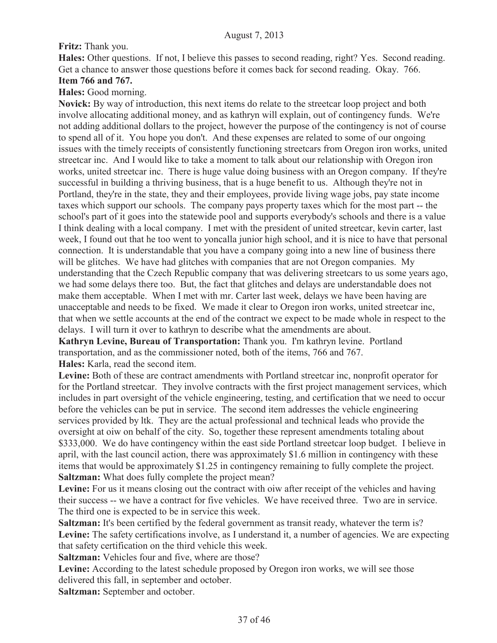## **Fritz:** Thank you.

**Hales:** Other questions. If not, I believe this passes to second reading, right? Yes. Second reading. Get a chance to answer those questions before it comes back for second reading. Okay. 766.

## **Item 766 and 767.**

**Hales:** Good morning.

**Novick:** By way of introduction, this next items do relate to the streetcar loop project and both involve allocating additional money, and as kathryn will explain, out of contingency funds. We're not adding additional dollars to the project, however the purpose of the contingency is not of course to spend all of it. You hope you don't. And these expenses are related to some of our ongoing issues with the timely receipts of consistently functioning streetcars from Oregon iron works, united streetcar inc. And I would like to take a moment to talk about our relationship with Oregon iron works, united streetcar inc. There is huge value doing business with an Oregon company. If they're successful in building a thriving business, that is a huge benefit to us. Although they're not in Portland, they're in the state, they and their employees, provide living wage jobs, pay state income taxes which support our schools. The company pays property taxes which for the most part -- the school's part of it goes into the statewide pool and supports everybody's schools and there is a value I think dealing with a local company. I met with the president of united streetcar, kevin carter, last week, I found out that he too went to yoncalla junior high school, and it is nice to have that personal connection. It is understandable that you have a company going into a new line of business there will be glitches. We have had glitches with companies that are not Oregon companies. My understanding that the Czech Republic company that was delivering streetcars to us some years ago, we had some delays there too. But, the fact that glitches and delays are understandable does not make them acceptable. When I met with mr. Carter last week, delays we have been having are unacceptable and needs to be fixed. We made it clear to Oregon iron works, united streetcar inc, that when we settle accounts at the end of the contract we expect to be made whole in respect to the delays. I will turn it over to kathryn to describe what the amendments are about.

**Kathryn Levine, Bureau of Transportation:** Thank you. I'm kathryn levine. Portland transportation, and as the commissioner noted, both of the items, 766 and 767. **Hales:** Karla, read the second item.

**Levine:** Both of these are contract amendments with Portland streetcar inc, nonprofit operator for for the Portland streetcar. They involve contracts with the first project management services, which includes in part oversight of the vehicle engineering, testing, and certification that we need to occur before the vehicles can be put in service. The second item addresses the vehicle engineering services provided by ltk. They are the actual professional and technical leads who provide the oversight at oiw on behalf of the city. So, together these represent amendments totaling about \$333,000. We do have contingency within the east side Portland streetcar loop budget. I believe in april, with the last council action, there was approximately \$1.6 million in contingency with these items that would be approximately \$1.25 in contingency remaining to fully complete the project. **Saltzman:** What does fully complete the project mean?

Levine: For us it means closing out the contract with oiw after receipt of the vehicles and having their success -- we have a contract for five vehicles. We have received three. Two are in service. The third one is expected to be in service this week.

**Saltzman:** It's been certified by the federal government as transit ready, whatever the term is? Levine: The safety certifications involve, as I understand it, a number of agencies. We are expecting that safety certification on the third vehicle this week.

**Saltzman:** Vehicles four and five, where are those?

Levine: According to the latest schedule proposed by Oregon iron works, we will see those delivered this fall, in september and october.

**Saltzman:** September and october.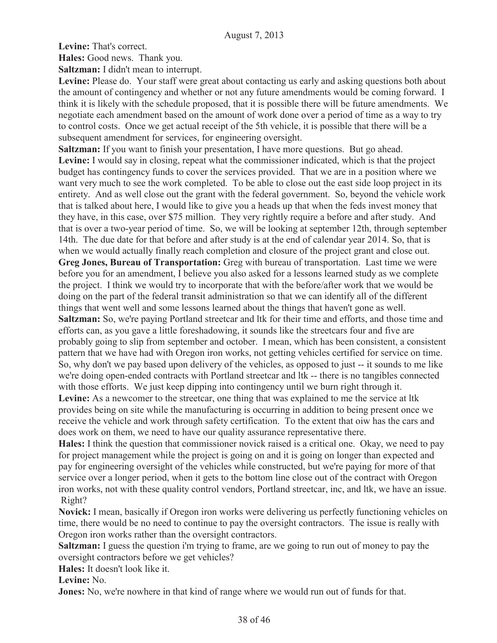**Levine:** That's correct.

**Hales:** Good news. Thank you.

**Saltzman:** I didn't mean to interrupt.

Levine: Please do. Your staff were great about contacting us early and asking questions both about the amount of contingency and whether or not any future amendments would be coming forward. I think it is likely with the schedule proposed, that it is possible there will be future amendments. We negotiate each amendment based on the amount of work done over a period of time as a way to try to control costs. Once we get actual receipt of the 5th vehicle, it is possible that there will be a subsequent amendment for services, for engineering oversight.

**Saltzman:** If you want to finish your presentation, I have more questions. But go ahead. Levine: I would say in closing, repeat what the commissioner indicated, which is that the project budget has contingency funds to cover the services provided. That we are in a position where we want very much to see the work completed. To be able to close out the east side loop project in its entirety. And as well close out the grant with the federal government. So, beyond the vehicle work that is talked about here, I would like to give you a heads up that when the feds invest money that they have, in this case, over \$75 million. They very rightly require a before and after study. And that is over a two-year period of time. So, we will be looking at september 12th, through september 14th. The due date for that before and after study is at the end of calendar year 2014. So, that is when we would actually finally reach completion and closure of the project grant and close out.

**Greg Jones, Bureau of Transportation:** Greg with bureau of transportation. Last time we were before you for an amendment, I believe you also asked for a lessons learned study as we complete the project. I think we would try to incorporate that with the before/after work that we would be doing on the part of the federal transit administration so that we can identify all of the different things that went well and some lessons learned about the things that haven't gone as well.

**Saltzman:** So, we're paying Portland streetcar and ltk for their time and efforts, and those time and efforts can, as you gave a little foreshadowing, it sounds like the streetcars four and five are probably going to slip from september and october. I mean, which has been consistent, a consistent pattern that we have had with Oregon iron works, not getting vehicles certified for service on time. So, why don't we pay based upon delivery of the vehicles, as opposed to just -- it sounds to me like we're doing open-ended contracts with Portland streetcar and ltk -- there is no tangibles connected with those efforts. We just keep dipping into contingency until we burn right through it.

Levine: As a newcomer to the streetcar, one thing that was explained to me the service at ltk provides being on site while the manufacturing is occurring in addition to being present once we receive the vehicle and work through safety certification. To the extent that oiw has the cars and does work on them, we need to have our quality assurance representative there.

**Hales:** I think the question that commissioner novick raised is a critical one. Okay, we need to pay for project management while the project is going on and it is going on longer than expected and pay for engineering oversight of the vehicles while constructed, but we're paying for more of that service over a longer period, when it gets to the bottom line close out of the contract with Oregon iron works, not with these quality control vendors, Portland streetcar, inc, and ltk, we have an issue. Right?

**Novick:** I mean, basically if Oregon iron works were delivering us perfectly functioning vehicles on time, there would be no need to continue to pay the oversight contractors. The issue is really with Oregon iron works rather than the oversight contractors.

**Saltzman:** I guess the question i'm trying to frame, are we going to run out of money to pay the oversight contractors before we get vehicles?

**Hales:** It doesn't look like it.

**Levine:** No.

**Jones:** No, we're nowhere in that kind of range where we would run out of funds for that.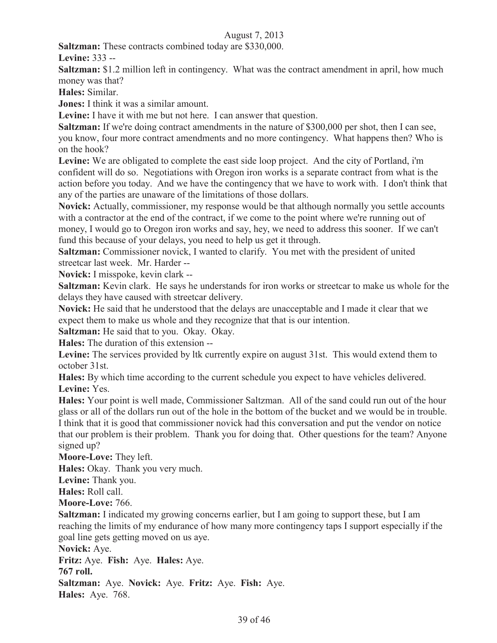**Saltzman:** These contracts combined today are \$330,000.

**Levine:** 333 --

**Saltzman:** \$1.2 million left in contingency. What was the contract amendment in april, how much money was that?

**Hales:** Similar.

**Jones:** I think it was a similar amount.

**Levine:** I have it with me but not here. I can answer that question.

**Saltzman:** If we're doing contract amendments in the nature of \$300,000 per shot, then I can see, you know, four more contract amendments and no more contingency. What happens then? Who is on the hook?

**Levine:** We are obligated to complete the east side loop project. And the city of Portland, i'm confident will do so. Negotiations with Oregon iron works is a separate contract from what is the action before you today. And we have the contingency that we have to work with. I don't think that any of the parties are unaware of the limitations of those dollars.

**Novick:** Actually, commissioner, my response would be that although normally you settle accounts with a contractor at the end of the contract, if we come to the point where we're running out of money, I would go to Oregon iron works and say, hey, we need to address this sooner. If we can't fund this because of your delays, you need to help us get it through.

**Saltzman:** Commissioner novick, I wanted to clarify. You met with the president of united streetcar last week. Mr. Harder --

**Novick:** I misspoke, kevin clark --

**Saltzman:** Kevin clark. He says he understands for iron works or streetcar to make us whole for the delays they have caused with streetcar delivery.

**Novick:** He said that he understood that the delays are unacceptable and I made it clear that we expect them to make us whole and they recognize that that is our intention.

**Saltzman:** He said that to you. Okay. Okay.

**Hales:** The duration of this extension --

Levine: The services provided by ltk currently expire on august 31st. This would extend them to october 31st.

**Hales:** By which time according to the current schedule you expect to have vehicles delivered. **Levine:** Yes.

**Hales:** Your point is well made, Commissioner Saltzman. All of the sand could run out of the hour glass or all of the dollars run out of the hole in the bottom of the bucket and we would be in trouble. I think that it is good that commissioner novick had this conversation and put the vendor on notice that our problem is their problem. Thank you for doing that. Other questions for the team? Anyone signed up?

**Moore-Love:** They left.

**Hales:** Okay. Thank you very much.

**Levine:** Thank you.

**Hales:** Roll call.

**Moore-Love:** 766.

**Saltzman:** I indicated my growing concerns earlier, but I am going to support these, but I am reaching the limits of my endurance of how many more contingency taps I support especially if the goal line gets getting moved on us aye.

**Novick:** Aye.

**Fritz:** Aye. **Fish:** Aye. **Hales:** Aye.

## **767 roll.**

**Saltzman:** Aye. **Novick:** Aye. **Fritz:** Aye. **Fish:** Aye.

**Hales:** Aye. 768.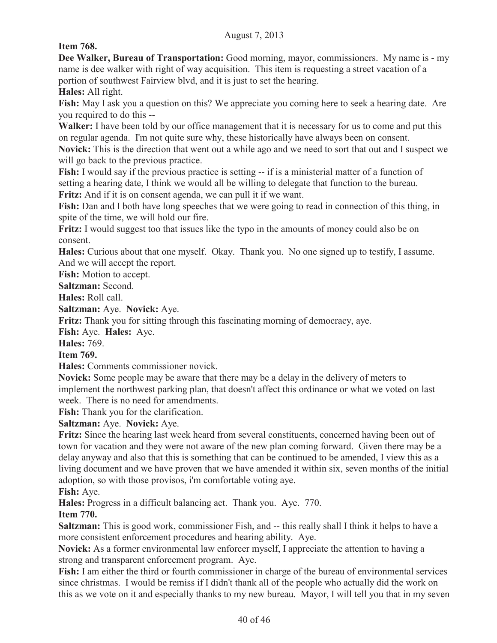**Item 768.**

**Dee Walker, Bureau of Transportation:** Good morning, mayor, commissioners. My name is - my name is dee walker with right of way acquisition. This item is requesting a street vacation of a portion of southwest Fairview blvd, and it is just to set the hearing.

**Hales:** All right.

**Fish:** May I ask you a question on this? We appreciate you coming here to seek a hearing date. Are you required to do this --

**Walker:** I have been told by our office management that it is necessary for us to come and put this on regular agenda. I'm not quite sure why, these historically have always been on consent.

**Novick:** This is the direction that went out a while ago and we need to sort that out and I suspect we will go back to the previous practice.

Fish: I would say if the previous practice is setting -- if is a ministerial matter of a function of setting a hearing date, I think we would all be willing to delegate that function to the bureau. **Fritz:** And if it is on consent agenda, we can pull it if we want.

Fish: Dan and I both have long speeches that we were going to read in connection of this thing, in spite of the time, we will hold our fire.

**Fritz:** I would suggest too that issues like the typo in the amounts of money could also be on consent.

**Hales:** Curious about that one myself. Okay. Thank you. No one signed up to testify, I assume. And we will accept the report.

**Fish:** Motion to accept.

**Saltzman:** Second.

**Hales:** Roll call.

**Saltzman:** Aye. **Novick:** Aye.

**Fritz:** Thank you for sitting through this fascinating morning of democracy, aye.

**Fish:** Aye. **Hales:** Aye.

**Hales:** 769.

**Item 769.**

**Hales:** Comments commissioner novick.

**Novick:** Some people may be aware that there may be a delay in the delivery of meters to implement the northwest parking plan, that doesn't affect this ordinance or what we voted on last week. There is no need for amendments.

**Fish:** Thank you for the clarification.

**Saltzman:** Aye. **Novick:** Aye.

**Fritz:** Since the hearing last week heard from several constituents, concerned having been out of town for vacation and they were not aware of the new plan coming forward. Given there may be a delay anyway and also that this is something that can be continued to be amended, I view this as a living document and we have proven that we have amended it within six, seven months of the initial adoption, so with those provisos, i'm comfortable voting aye.

**Fish:** Aye.

**Hales:** Progress in a difficult balancing act. Thank you. Aye. 770.

**Item 770.**

**Saltzman:** This is good work, commissioner Fish, and -- this really shall I think it helps to have a more consistent enforcement procedures and hearing ability. Aye.

**Novick:** As a former environmental law enforcer myself, I appreciate the attention to having a strong and transparent enforcement program. Aye.

**Fish:** I am either the third or fourth commissioner in charge of the bureau of environmental services since christmas. I would be remiss if I didn't thank all of the people who actually did the work on this as we vote on it and especially thanks to my new bureau. Mayor, I will tell you that in my seven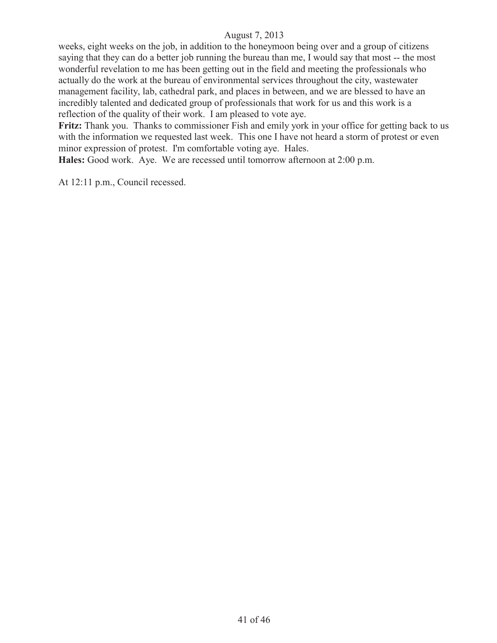weeks, eight weeks on the job, in addition to the honeymoon being over and a group of citizens saying that they can do a better job running the bureau than me, I would say that most -- the most wonderful revelation to me has been getting out in the field and meeting the professionals who actually do the work at the bureau of environmental services throughout the city, wastewater management facility, lab, cathedral park, and places in between, and we are blessed to have an incredibly talented and dedicated group of professionals that work for us and this work is a reflection of the quality of their work. I am pleased to vote aye.

**Fritz:** Thank you. Thanks to commissioner Fish and emily york in your office for getting back to us with the information we requested last week. This one I have not heard a storm of protest or even minor expression of protest. I'm comfortable voting aye. Hales.

**Hales:** Good work. Aye. We are recessed until tomorrow afternoon at 2:00 p.m.

At 12:11 p.m., Council recessed.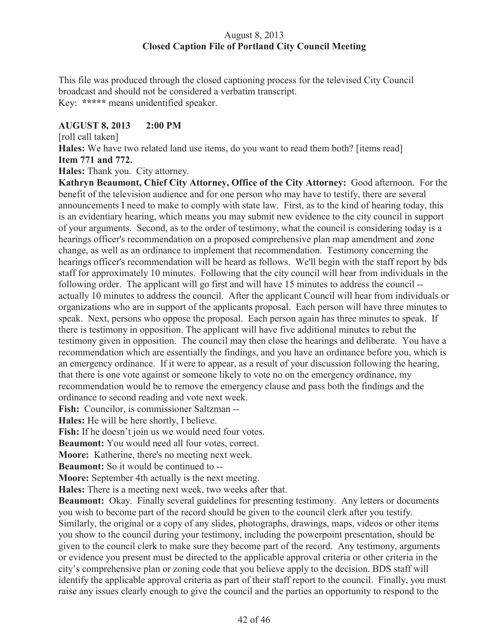## August 8, 2013 **Closed Caption File of Portland City Council Meeting**

This file was produced through the closed captioning process for the televised City Council broadcast and should not be considered a verbatim transcript. Key: **\*\*\*\*\*** means unidentified speaker.

## **AUGUST 8, 2013 2:00 PM**

[roll call taken]

**Hales:** We have two related land use items, do you want to read them both? [items read] **Item 771 and 772.**

**Hales:** Thank you. City attorney.

**Kathryn Beaumont, Chief City Attorney, Office of the City Attorney:** Good afternoon. For the benefit of the television audience and for one person who may have to testify, there are several announcements I need to make to comply with state law. First, as to the kind of hearing today, this is an evidentiary hearing, which means you may submit new evidence to the city council in support of your arguments. Second, as to the order of testimony, what the council is considering today is a hearings officer's recommendation on a proposed comprehensive plan map amendment and zone change, as well as an ordinance to implement that recommendation. Testimony concerning the hearings officer's recommendation will be heard as follows. We'll begin with the staff report by bds staff for approximately 10 minutes. Following that the city council will hear from individuals in the following order. The applicant will go first and will have 15 minutes to address the council - actually 10 minutes to address the council. After the applicant Council will hear from individuals or organizations who are in support of the applicants proposal. Each person will have three minutes to speak. Next, persons who oppose the proposal. Each person again has three minutes to speak. If there is testimony in opposition. The applicant will have five additional minutes to rebut the testimony given in opposition. The council may then close the hearings and deliberate. You have a recommendation which are essentially the findings, and you have an ordinance before you, which is an emergency ordinance. If it were to appear, as a result of your discussion following the hearing, that there is one vote against or someone likely to vote no on the emergency ordinance, my recommendation would be to remove the emergency clause and pass both the findings and the ordinance to second reading and vote next week.

**Fish:** Councilor, is commissioner Saltzman --

**Hales:** He will be here shortly, I believe.

Fish: If he doesn't join us we would need four votes.

**Beaumont:** You would need all four votes, correct.

**Moore:** Katherine, there's no meeting next week.

**Beaumont:** So it would be continued to --

**Moore:** September 4th actually is the next meeting.

**Hales:** There is a meeting next week, two weeks after that.

**Beaumont:** Okay. Finally several guidelines for presenting testimony. Any letters or documents you wish to become part of the record should be given to the council clerk after you testify. Similarly, the original or a copy of any slides, photographs, drawings, maps, videos or other items you show to the council during your testimony, including the powerpoint presentation, should be given to the council clerk to make sure they become part of the record. Any testimony, arguments or evidence you present must be directed to the applicable approval criteria or other criteria in the city's comprehensive plan or zoning code that you believe apply to the decision. BDS staff will identify the applicable approval criteria as part of their staff report to the council. Finally, you must raise any issues clearly enough to give the council and the parties an opportunity to respond to the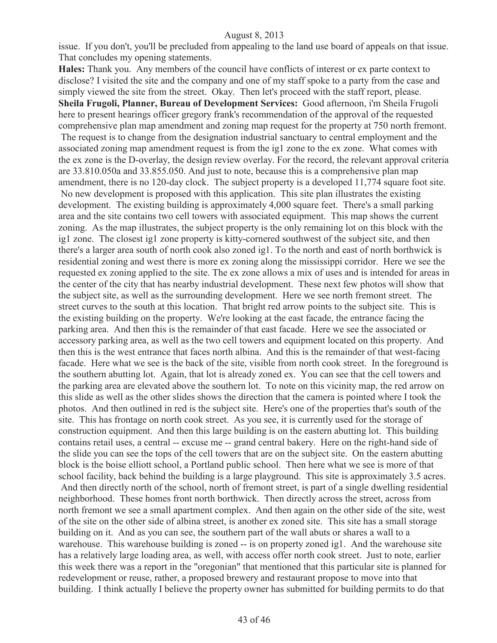#### August 8, 2013

issue. If you don't, you'll be precluded from appealing to the land use board of appeals on that issue. That concludes my opening statements.

**Hales:** Thank you. Any members of the council have conflicts of interest or ex parte context to disclose? I visited the site and the company and one of my staff spoke to a party from the case and simply viewed the site from the street. Okay. Then let's proceed with the staff report, please. **Sheila Frugoli, Planner, Bureau of Development Services:** Good afternoon, i'm Sheila Frugoli here to present hearings officer gregory frank's recommendation of the approval of the requested comprehensive plan map amendment and zoning map request for the property at 750 north fremont. The request is to change from the designation industrial sanctuary to central employment and the associated zoning map amendment request is from the ig1 zone to the ex zone. What comes with the ex zone is the D-overlay, the design review overlay. For the record, the relevant approval criteria are 33.810.050a and 33.855.050. And just to note, because this is a comprehensive plan map amendment, there is no 120-day clock. The subject property is a developed 11,774 square foot site. No new development is proposed with this application. This site plan illustrates the existing development. The existing building is approximately 4,000 square feet. There's a small parking area and the site contains two cell towers with associated equipment. This map shows the current zoning. As the map illustrates, the subject property is the only remaining lot on this block with the ig1 zone. The closest ig1 zone property is kitty-cornered southwest of the subject site, and then there's a larger area south of north cook also zoned ig1. To the north and east of north borthwick is residential zoning and west there is more ex zoning along the mississippi corridor. Here we see the requested ex zoning applied to the site. The ex zone allows a mix of uses and is intended for areas in the center of the city that has nearby industrial development. These next few photos will show that the subject site, as well as the surrounding development. Here we see north fremont street. The street curves to the south at this location. That bright red arrow points to the subject site. This is the existing building on the property. We're looking at the east facade, the entrance facing the parking area. And then this is the remainder of that east facade. Here we see the associated or accessory parking area, as well as the two cell towers and equipment located on this property. And then this is the west entrance that faces north albina. And this is the remainder of that west-facing facade. Here what we see is the back of the site, visible from north cook street. In the foreground is the southern abutting lot. Again, that lot is already zoned ex. You can see that the cell towers and the parking area are elevated above the southern lot. To note on this vicinity map, the red arrow on this slide as well as the other slides shows the direction that the camera is pointed where I took the photos. And then outlined in red is the subject site. Here's one of the properties that's south of the site. This has frontage on north cook street. As you see, it is currently used for the storage of construction equipment. And then this large building is on the eastern abutting lot. This building contains retail uses, a central -- excuse me -- grand central bakery. Here on the right-hand side of the slide you can see the tops of the cell towers that are on the subject site. On the eastern abutting block is the boise elliott school, a Portland public school. Then here what we see is more of that school facility, back behind the building is a large playground. This site is approximately 3.5 acres. And then directly north of the school, north of fremont street, is part of a single dwelling residential neighborhood. These homes front north borthwick. Then directly across the street, across from north fremont we see a small apartment complex. And then again on the other side of the site, west of the site on the other side of albina street, is another ex zoned site. This site has a small storage building on it. And as you can see, the southern part of the wall abuts or shares a wall to a warehouse. This warehouse building is zoned -- is on property zoned ig1. And the warehouse site has a relatively large loading area, as well, with access offer north cook street. Just to note, earlier this week there was a report in the "oregonian" that mentioned that this particular site is planned for redevelopment or reuse, rather, a proposed brewery and restaurant propose to move into that building. I think actually I believe the property owner has submitted for building permits to do that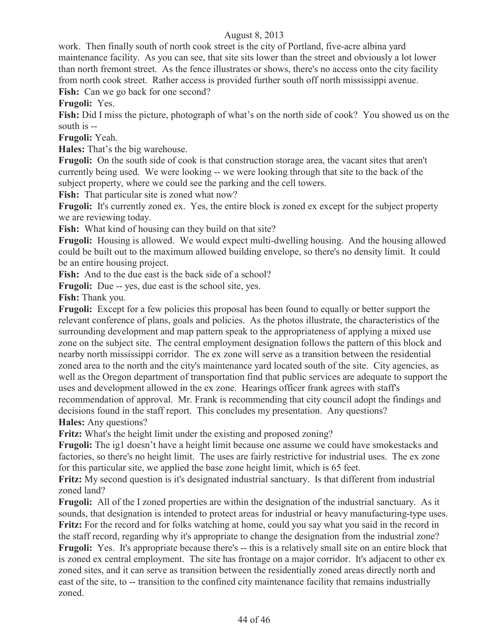## August 8, 2013

work. Then finally south of north cook street is the city of Portland, five-acre albina yard maintenance facility. As you can see, that site sits lower than the street and obviously a lot lower than north fremont street. As the fence illustrates or shows, there's no access onto the city facility from north cook street. Rather access is provided further south off north mississippi avenue. **Fish:** Can we go back for one second?

**Frugoli:** Yes.

**Fish:** Did I miss the picture, photograph of what's on the north side of cook? You showed us on the south is --

**Frugoli:** Yeah.

**Hales:** That's the big warehouse.

**Frugoli:** On the south side of cook is that construction storage area, the vacant sites that aren't currently being used. We were looking -- we were looking through that site to the back of the subject property, where we could see the parking and the cell towers.

Fish: That particular site is zoned what now?

**Frugoli:** It's currently zoned ex. Yes, the entire block is zoned ex except for the subject property we are reviewing today.

**Fish:** What kind of housing can they build on that site?

**Frugoli:** Housing is allowed. We would expect multi-dwelling housing. And the housing allowed could be built out to the maximum allowed building envelope, so there's no density limit. It could be an entire housing project.

Fish: And to the due east is the back side of a school?

**Frugoli:** Due -- yes, due east is the school site, yes.

**Fish:** Thank you.

**Frugoli:** Except for a few policies this proposal has been found to equally or better support the relevant conference of plans, goals and policies. As the photos illustrate, the characteristics of the surrounding development and map pattern speak to the appropriateness of applying a mixed use zone on the subject site. The central employment designation follows the pattern of this block and nearby north mississippi corridor. The ex zone will serve as a transition between the residential zoned area to the north and the city's maintenance yard located south of the site. City agencies, as well as the Oregon department of transportation find that public services are adequate to support the uses and development allowed in the ex zone. Hearings officer frank agrees with staff's recommendation of approval. Mr. Frank is recommending that city council adopt the findings and decisions found in the staff report. This concludes my presentation. Any questions? **Hales:** Any questions?

**Fritz:** What's the height limit under the existing and proposed zoning?

**Frugoli:** The ig1 doesn't have a height limit because one assume we could have smokestacks and factories, so there's no height limit. The uses are fairly restrictive for industrial uses. The ex zone for this particular site, we applied the base zone height limit, which is 65 feet.

**Fritz:** My second question is it's designated industrial sanctuary. Is that different from industrial zoned land?

**Frugoli:** All of the I zoned properties are within the designation of the industrial sanctuary. As it sounds, that designation is intended to protect areas for industrial or heavy manufacturing-type uses. **Fritz:** For the record and for folks watching at home, could you say what you said in the record in the staff record, regarding why it's appropriate to change the designation from the industrial zone? **Frugoli:** Yes. It's appropriate because there's -- this is a relatively small site on an entire block that is zoned ex central employment. The site has frontage on a major corridor. It's adjacent to other ex zoned sites, and it can serve as transition between the residentially zoned areas directly north and east of the site, to -- transition to the confined city maintenance facility that remains industrially zoned.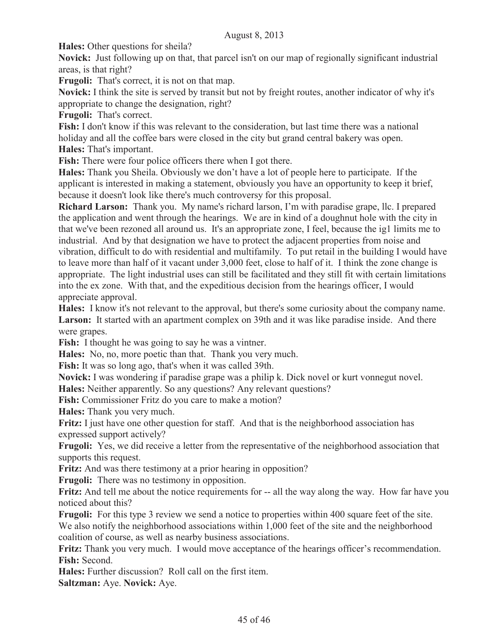**Hales:** Other questions for sheila?

**Novick:** Just following up on that, that parcel isn't on our map of regionally significant industrial areas, is that right?

**Frugoli:** That's correct, it is not on that map.

**Novick:** I think the site is served by transit but not by freight routes, another indicator of why it's appropriate to change the designation, right?

**Frugoli:** That's correct.

**Fish:** I don't know if this was relevant to the consideration, but last time there was a national holiday and all the coffee bars were closed in the city but grand central bakery was open. **Hales:** That's important.

Fish: There were four police officers there when I got there.

**Hales:** Thank you Sheila. Obviously we don't have a lot of people here to participate. If the applicant is interested in making a statement, obviously you have an opportunity to keep it brief, because it doesn't look like there's much controversy for this proposal.

**Richard Larson:** Thank you. My name's richard larson, I'm with paradise grape, llc. I prepared the application and went through the hearings. We are in kind of a doughnut hole with the city in that we've been rezoned all around us. It's an appropriate zone, I feel, because the ig1 limits me to industrial. And by that designation we have to protect the adjacent properties from noise and vibration, difficult to do with residential and multifamily. To put retail in the building I would have to leave more than half of it vacant under 3,000 feet, close to half of it. I think the zone change is appropriate. The light industrial uses can still be facilitated and they still fit with certain limitations into the ex zone. With that, and the expeditious decision from the hearings officer, I would appreciate approval.

**Hales:** I know it's not relevant to the approval, but there's some curiosity about the company name. Larson: It started with an apartment complex on 39th and it was like paradise inside. And there were grapes.

Fish: I thought he was going to say he was a vintner.

**Hales:** No, no, more poetic than that. Thank you very much.

**Fish:** It was so long ago, that's when it was called 39th.

**Novick:** I was wondering if paradise grape was a philip k. Dick novel or kurt vonnegut novel.

**Hales:** Neither apparently. So any questions? Any relevant questions?

Fish: Commissioner Fritz do you care to make a motion?

**Hales:** Thank you very much.

**Fritz:** I just have one other question for staff. And that is the neighborhood association has expressed support actively?

**Frugoli:** Yes, we did receive a letter from the representative of the neighborhood association that supports this request.

**Fritz:** And was there testimony at a prior hearing in opposition?

**Frugoli:** There was no testimony in opposition.

**Fritz:** And tell me about the notice requirements for -- all the way along the way. How far have you noticed about this?

**Frugoli:** For this type 3 review we send a notice to properties within 400 square feet of the site.

We also notify the neighborhood associations within 1,000 feet of the site and the neighborhood coalition of course, as well as nearby business associations.

**Fritz:** Thank you very much. I would move acceptance of the hearings officer's recommendation. **Fish:** Second.

**Hales:** Further discussion? Roll call on the first item.

**Saltzman:** Aye. **Novick:** Aye.